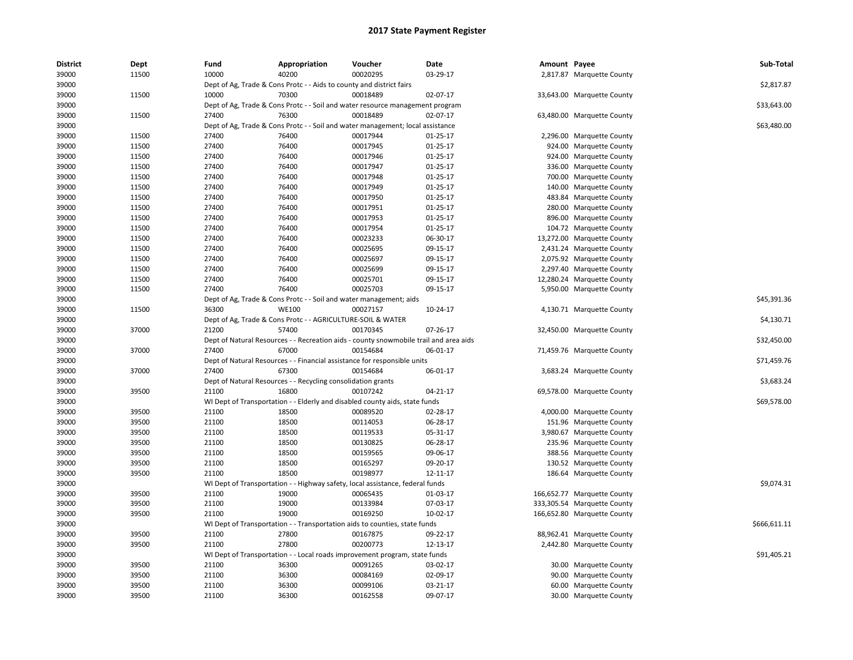| <b>District</b> | Dept  | Fund  | Appropriation                                                                         | Voucher  | Date           | Amount Payee |                             | Sub-Total    |
|-----------------|-------|-------|---------------------------------------------------------------------------------------|----------|----------------|--------------|-----------------------------|--------------|
| 39000           | 11500 | 10000 | 40200                                                                                 | 00020295 | 03-29-17       |              | 2,817.87 Marquette County   |              |
| 39000           |       |       | Dept of Ag, Trade & Cons Protc - - Aids to county and district fairs                  |          |                |              |                             | \$2,817.87   |
| 39000           | 11500 | 10000 | 70300                                                                                 | 00018489 | 02-07-17       |              | 33,643.00 Marquette County  |              |
| 39000           |       |       | Dept of Ag, Trade & Cons Protc - - Soil and water resource management program         |          |                |              |                             | \$33,643.00  |
| 39000           | 11500 | 27400 | 76300                                                                                 | 00018489 | 02-07-17       |              | 63,480.00 Marquette County  |              |
| 39000           |       |       | Dept of Ag, Trade & Cons Protc - - Soil and water management; local assistance        |          |                |              |                             | \$63,480.00  |
| 39000           | 11500 | 27400 | 76400                                                                                 | 00017944 | 01-25-17       |              | 2,296.00 Marquette County   |              |
| 39000           | 11500 | 27400 | 76400                                                                                 | 00017945 | $01 - 25 - 17$ |              | 924.00 Marquette County     |              |
| 39000           | 11500 | 27400 | 76400                                                                                 | 00017946 | 01-25-17       |              | 924.00 Marquette County     |              |
| 39000           | 11500 | 27400 | 76400                                                                                 | 00017947 | $01 - 25 - 17$ |              | 336.00 Marquette County     |              |
| 39000           | 11500 | 27400 | 76400                                                                                 | 00017948 | 01-25-17       |              | 700.00 Marquette County     |              |
| 39000           | 11500 | 27400 | 76400                                                                                 | 00017949 | 01-25-17       |              | 140.00 Marquette County     |              |
| 39000           | 11500 | 27400 | 76400                                                                                 | 00017950 | $01 - 25 - 17$ |              | 483.84 Marquette County     |              |
| 39000           | 11500 | 27400 | 76400                                                                                 | 00017951 | 01-25-17       |              | 280.00 Marquette County     |              |
| 39000           | 11500 | 27400 | 76400                                                                                 | 00017953 | 01-25-17       |              | 896.00 Marquette County     |              |
| 39000           | 11500 | 27400 | 76400                                                                                 | 00017954 | 01-25-17       |              | 104.72 Marquette County     |              |
| 39000           | 11500 | 27400 | 76400                                                                                 | 00023233 | 06-30-17       |              | 13,272.00 Marquette County  |              |
| 39000           | 11500 | 27400 | 76400                                                                                 | 00025695 | 09-15-17       |              | 2,431.24 Marquette County   |              |
| 39000           | 11500 | 27400 | 76400                                                                                 | 00025697 | 09-15-17       |              | 2,075.92 Marquette County   |              |
| 39000           | 11500 | 27400 | 76400                                                                                 | 00025699 | 09-15-17       |              | 2,297.40 Marquette County   |              |
| 39000           | 11500 | 27400 | 76400                                                                                 | 00025701 | 09-15-17       |              | 12,280.24 Marquette County  |              |
| 39000           | 11500 | 27400 | 76400                                                                                 | 00025703 | 09-15-17       |              | 5,950.00 Marquette County   |              |
| 39000           |       |       | Dept of Ag, Trade & Cons Protc - - Soil and water management; aids                    |          |                |              |                             | \$45,391.36  |
| 39000           | 11500 | 36300 | <b>WE100</b>                                                                          | 00027157 | 10-24-17       |              | 4,130.71 Marquette County   |              |
| 39000           |       |       | Dept of Ag, Trade & Cons Protc - - AGRICULTURE-SOIL & WATER                           |          |                |              |                             | \$4,130.71   |
| 39000           | 37000 | 21200 | 57400                                                                                 | 00170345 | 07-26-17       |              | 32,450.00 Marquette County  |              |
| 39000           |       |       | Dept of Natural Resources - - Recreation aids - county snowmobile trail and area aids |          |                |              |                             | \$32,450.00  |
| 39000           | 37000 | 27400 | 67000                                                                                 | 00154684 | 06-01-17       |              | 71,459.76 Marquette County  |              |
| 39000           |       |       | Dept of Natural Resources - - Financial assistance for responsible units              |          |                |              |                             | \$71,459.76  |
| 39000           | 37000 | 27400 | 67300                                                                                 | 00154684 | 06-01-17       |              | 3,683.24 Marquette County   |              |
| 39000           |       |       | Dept of Natural Resources - - Recycling consolidation grants                          |          |                |              |                             | \$3,683.24   |
| 39000           | 39500 | 21100 | 16800                                                                                 | 00107242 | 04-21-17       |              | 69,578.00 Marquette County  |              |
| 39000           |       |       | WI Dept of Transportation - - Elderly and disabled county aids, state funds           |          |                |              |                             | \$69,578.00  |
| 39000           | 39500 | 21100 | 18500                                                                                 | 00089520 | 02-28-17       |              | 4,000.00 Marquette County   |              |
| 39000           | 39500 | 21100 | 18500                                                                                 | 00114053 | 06-28-17       |              | 151.96 Marquette County     |              |
| 39000           | 39500 | 21100 | 18500                                                                                 | 00119533 | 05-31-17       |              | 3,980.67 Marquette County   |              |
| 39000           | 39500 | 21100 | 18500                                                                                 | 00130825 | 06-28-17       |              | 235.96 Marquette County     |              |
| 39000           | 39500 | 21100 | 18500                                                                                 | 00159565 | 09-06-17       |              | 388.56 Marquette County     |              |
| 39000           | 39500 | 21100 | 18500                                                                                 | 00165297 | 09-20-17       |              | 130.52 Marquette County     |              |
| 39000           | 39500 | 21100 | 18500                                                                                 | 00198977 | 12-11-17       |              | 186.64 Marquette County     |              |
| 39000           |       |       | WI Dept of Transportation - - Highway safety, local assistance, federal funds         |          |                |              |                             | \$9,074.31   |
| 39000           | 39500 | 21100 | 19000                                                                                 | 00065435 | 01-03-17       |              | 166,652.77 Marquette County |              |
| 39000           | 39500 | 21100 | 19000                                                                                 | 00133984 | 07-03-17       |              | 333,305.54 Marquette County |              |
| 39000           | 39500 | 21100 | 19000                                                                                 | 00169250 | 10-02-17       |              | 166,652.80 Marquette County |              |
| 39000           |       |       | WI Dept of Transportation - - Transportation aids to counties, state funds            |          |                |              |                             | \$666,611.11 |
| 39000           | 39500 | 21100 | 27800                                                                                 | 00167875 | 09-22-17       |              | 88,962.41 Marquette County  |              |
| 39000           | 39500 | 21100 | 27800                                                                                 | 00200773 | 12-13-17       |              | 2,442.80 Marquette County   |              |
| 39000           |       |       | WI Dept of Transportation - - Local roads improvement program, state funds            |          |                |              |                             | \$91,405.21  |
| 39000           | 39500 | 21100 | 36300                                                                                 | 00091265 | 03-02-17       |              | 30.00 Marquette County      |              |
| 39000           | 39500 | 21100 | 36300                                                                                 | 00084169 | 02-09-17       |              | 90.00 Marquette County      |              |
| 39000           | 39500 | 21100 | 36300                                                                                 | 00099106 | 03-21-17       |              | 60.00 Marquette County      |              |
| 39000           | 39500 | 21100 | 36300                                                                                 | 00162558 | 09-07-17       |              | 30.00 Marquette County      |              |
|                 |       |       |                                                                                       |          |                |              |                             |              |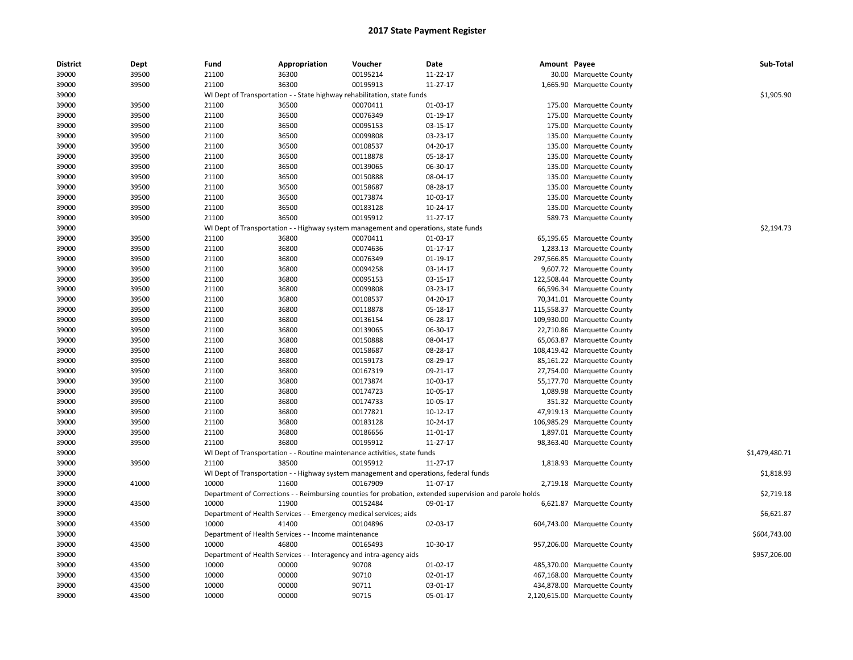| <b>District</b> | Dept  | Fund  | Appropriation                                                       | Voucher                                                                               | Date                                                                                                    | Amount Payee |                               | Sub-Total      |
|-----------------|-------|-------|---------------------------------------------------------------------|---------------------------------------------------------------------------------------|---------------------------------------------------------------------------------------------------------|--------------|-------------------------------|----------------|
| 39000           | 39500 | 21100 | 36300                                                               | 00195214                                                                              | 11-22-17                                                                                                |              | 30.00 Marquette County        |                |
| 39000           | 39500 | 21100 | 36300                                                               | 00195913                                                                              | 11-27-17                                                                                                |              | 1,665.90 Marquette County     |                |
| 39000           |       |       |                                                                     | WI Dept of Transportation - - State highway rehabilitation, state funds               |                                                                                                         |              |                               | \$1,905.90     |
| 39000           | 39500 | 21100 | 36500                                                               | 00070411                                                                              | 01-03-17                                                                                                |              | 175.00 Marquette County       |                |
| 39000           | 39500 | 21100 | 36500                                                               | 00076349                                                                              | $01-19-17$                                                                                              | 175.00       | <b>Marquette County</b>       |                |
| 39000           | 39500 | 21100 | 36500                                                               | 00095153                                                                              | 03-15-17                                                                                                | 175.00       | <b>Marquette County</b>       |                |
| 39000           | 39500 | 21100 | 36500                                                               | 00099808                                                                              | 03-23-17                                                                                                | 135.00       | <b>Marquette County</b>       |                |
| 39000           | 39500 | 21100 | 36500                                                               | 00108537                                                                              | 04-20-17                                                                                                |              | 135.00 Marquette County       |                |
| 39000           | 39500 | 21100 | 36500                                                               | 00118878                                                                              | 05-18-17                                                                                                |              | 135.00 Marquette County       |                |
| 39000           | 39500 | 21100 | 36500                                                               | 00139065                                                                              | 06-30-17                                                                                                | 135.00       | <b>Marquette County</b>       |                |
| 39000           | 39500 | 21100 | 36500                                                               | 00150888                                                                              | 08-04-17                                                                                                | 135.00       | <b>Marquette County</b>       |                |
| 39000           | 39500 | 21100 | 36500                                                               | 00158687                                                                              | 08-28-17                                                                                                | 135.00       | Marquette County              |                |
| 39000           | 39500 | 21100 | 36500                                                               | 00173874                                                                              | 10-03-17                                                                                                |              | 135.00 Marquette County       |                |
| 39000           | 39500 | 21100 | 36500                                                               | 00183128                                                                              | 10-24-17                                                                                                |              | 135.00 Marquette County       |                |
| 39000           | 39500 | 21100 | 36500                                                               | 00195912                                                                              | 11-27-17                                                                                                |              | 589.73 Marquette County       |                |
| 39000           |       |       |                                                                     | WI Dept of Transportation - - Highway system management and operations, state funds   |                                                                                                         |              |                               | \$2,194.73     |
| 39000           | 39500 | 21100 | 36800                                                               | 00070411                                                                              | 01-03-17                                                                                                |              | 65,195.65 Marquette County    |                |
| 39000           | 39500 | 21100 | 36800                                                               | 00074636                                                                              | $01 - 17 - 17$                                                                                          |              | 1,283.13 Marquette County     |                |
| 39000           | 39500 | 21100 | 36800                                                               | 00076349                                                                              | 01-19-17                                                                                                |              | 297,566.85 Marquette County   |                |
| 39000           | 39500 | 21100 | 36800                                                               | 00094258                                                                              | 03-14-17                                                                                                |              | 9,607.72 Marquette County     |                |
| 39000           | 39500 | 21100 | 36800                                                               | 00095153                                                                              | 03-15-17                                                                                                |              | 122,508.44 Marquette County   |                |
| 39000           | 39500 | 21100 | 36800                                                               | 00099808                                                                              | 03-23-17                                                                                                |              | 66,596.34 Marquette County    |                |
| 39000           | 39500 | 21100 | 36800                                                               | 00108537                                                                              | 04-20-17                                                                                                |              |                               |                |
|                 |       |       |                                                                     |                                                                                       |                                                                                                         |              | 70,341.01 Marquette County    |                |
| 39000           | 39500 | 21100 | 36800                                                               | 00118878                                                                              | 05-18-17                                                                                                |              | 115,558.37 Marquette County   |                |
| 39000           | 39500 | 21100 | 36800                                                               | 00136154                                                                              | 06-28-17                                                                                                |              | 109,930.00 Marquette County   |                |
| 39000           | 39500 | 21100 | 36800                                                               | 00139065                                                                              | 06-30-17                                                                                                |              | 22,710.86 Marquette County    |                |
| 39000           | 39500 | 21100 | 36800                                                               | 00150888                                                                              | 08-04-17                                                                                                |              | 65,063.87 Marquette County    |                |
| 39000           | 39500 | 21100 | 36800                                                               | 00158687                                                                              | 08-28-17                                                                                                |              | 108,419.42 Marquette County   |                |
| 39000           | 39500 | 21100 | 36800                                                               | 00159173                                                                              | 08-29-17                                                                                                |              | 85,161.22 Marquette County    |                |
| 39000           | 39500 | 21100 | 36800                                                               | 00167319                                                                              | 09-21-17                                                                                                |              | 27,754.00 Marquette County    |                |
| 39000           | 39500 | 21100 | 36800                                                               | 00173874                                                                              | 10-03-17                                                                                                |              | 55,177.70 Marquette County    |                |
| 39000           | 39500 | 21100 | 36800                                                               | 00174723                                                                              | 10-05-17                                                                                                |              | 1,089.98 Marquette County     |                |
| 39000           | 39500 | 21100 | 36800                                                               | 00174733                                                                              | 10-05-17                                                                                                |              | 351.32 Marquette County       |                |
| 39000           | 39500 | 21100 | 36800                                                               | 00177821                                                                              | 10-12-17                                                                                                |              | 47,919.13 Marquette County    |                |
| 39000           | 39500 | 21100 | 36800                                                               | 00183128                                                                              | 10-24-17                                                                                                |              | 106,985.29 Marquette County   |                |
| 39000           | 39500 | 21100 | 36800                                                               | 00186656                                                                              | 11-01-17                                                                                                |              | 1,897.01 Marquette County     |                |
| 39000           | 39500 | 21100 | 36800                                                               | 00195912                                                                              | 11-27-17                                                                                                |              | 98,363.40 Marquette County    |                |
| 39000           |       |       |                                                                     | WI Dept of Transportation - - Routine maintenance activities, state funds             |                                                                                                         |              |                               | \$1,479,480.71 |
| 39000           | 39500 | 21100 | 38500                                                               | 00195912                                                                              | 11-27-17                                                                                                |              | 1,818.93 Marquette County     |                |
| 39000           |       |       |                                                                     | WI Dept of Transportation - - Highway system management and operations, federal funds |                                                                                                         |              |                               | \$1,818.93     |
| 39000           | 41000 | 10000 | 11600                                                               | 00167909                                                                              | 11-07-17                                                                                                |              | 2,719.18 Marquette County     |                |
| 39000           |       |       |                                                                     |                                                                                       | Department of Corrections - - Reimbursing counties for probation, extended supervision and parole holds |              |                               | \$2,719.18     |
| 39000           | 43500 | 10000 | 11900                                                               | 00152484                                                                              | 09-01-17                                                                                                |              | 6,621.87 Marquette County     |                |
| 39000           |       |       | Department of Health Services - - Emergency medical services; aids  |                                                                                       |                                                                                                         |              |                               | \$6,621.87     |
| 39000           | 43500 | 10000 | 41400                                                               | 00104896                                                                              | 02-03-17                                                                                                |              | 604,743.00 Marquette County   |                |
| 39000           |       |       | Department of Health Services - - Income maintenance                |                                                                                       |                                                                                                         |              |                               | \$604,743.00   |
| 39000           | 43500 | 10000 | 46800                                                               | 00165493                                                                              | 10-30-17                                                                                                |              | 957,206.00 Marquette County   |                |
| 39000           |       |       | Department of Health Services - - Interagency and intra-agency aids |                                                                                       |                                                                                                         |              |                               | \$957,206.00   |
| 39000           | 43500 | 10000 | 00000                                                               | 90708                                                                                 | 01-02-17                                                                                                |              | 485,370.00 Marquette County   |                |
| 39000           | 43500 | 10000 | 00000                                                               | 90710                                                                                 | 02-01-17                                                                                                |              | 467,168.00 Marquette County   |                |
| 39000           | 43500 | 10000 | 00000                                                               | 90711                                                                                 | 03-01-17                                                                                                |              | 434,878.00 Marquette County   |                |
| 39000           | 43500 | 10000 | 00000                                                               | 90715                                                                                 | 05-01-17                                                                                                |              | 2,120,615.00 Marquette County |                |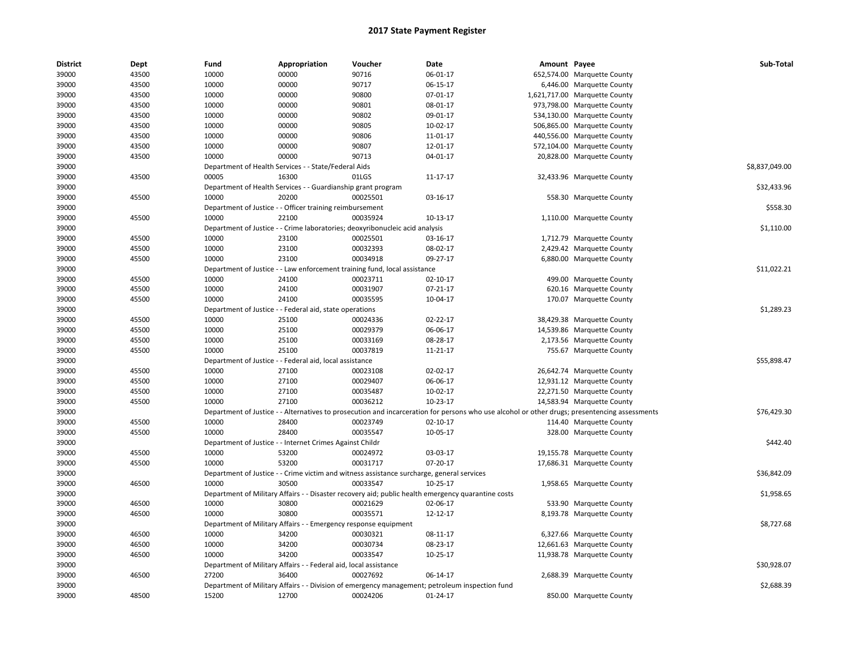| <b>District</b> | Dept  | Fund  | Appropriation                                                            | Voucher                                                                                   | Date                                                                                                                                          | Amount Payee |                               | Sub-Total      |
|-----------------|-------|-------|--------------------------------------------------------------------------|-------------------------------------------------------------------------------------------|-----------------------------------------------------------------------------------------------------------------------------------------------|--------------|-------------------------------|----------------|
| 39000           | 43500 | 10000 | 00000                                                                    | 90716                                                                                     | 06-01-17                                                                                                                                      |              | 652,574.00 Marquette County   |                |
| 39000           | 43500 | 10000 | 00000                                                                    | 90717                                                                                     | 06-15-17                                                                                                                                      |              | 6,446.00 Marquette County     |                |
| 39000           | 43500 | 10000 | 00000                                                                    | 90800                                                                                     | 07-01-17                                                                                                                                      |              | 1,621,717.00 Marquette County |                |
| 39000           | 43500 | 10000 | 00000                                                                    | 90801                                                                                     | 08-01-17                                                                                                                                      |              | 973,798.00 Marquette County   |                |
| 39000           | 43500 | 10000 | 00000                                                                    | 90802                                                                                     | 09-01-17                                                                                                                                      |              | 534,130.00 Marquette County   |                |
| 39000           | 43500 | 10000 | 00000                                                                    | 90805                                                                                     | 10-02-17                                                                                                                                      |              | 506,865.00 Marquette County   |                |
| 39000           | 43500 | 10000 | 00000                                                                    | 90806                                                                                     | 11-01-17                                                                                                                                      |              | 440,556.00 Marquette County   |                |
| 39000           | 43500 | 10000 | 00000                                                                    | 90807                                                                                     | 12-01-17                                                                                                                                      |              | 572,104.00 Marquette County   |                |
| 39000           | 43500 | 10000 | 00000                                                                    | 90713                                                                                     | 04-01-17                                                                                                                                      |              | 20,828.00 Marquette County    |                |
| 39000           |       |       | Department of Health Services - - State/Federal Aids                     |                                                                                           |                                                                                                                                               |              |                               | \$8,837,049.00 |
| 39000           | 43500 | 00005 | 16300                                                                    | 01LGS                                                                                     | 11-17-17                                                                                                                                      |              | 32,433.96 Marquette County    |                |
| 39000           |       |       | Department of Health Services - - Guardianship grant program             |                                                                                           |                                                                                                                                               |              |                               | \$32,433.96    |
| 39000           | 45500 | 10000 | 20200                                                                    | 00025501                                                                                  | 03-16-17                                                                                                                                      |              | 558.30 Marquette County       |                |
| 39000           |       |       | Department of Justice - - Officer training reimbursement                 |                                                                                           |                                                                                                                                               |              |                               | \$558.30       |
| 39000           | 45500 | 10000 | 22100                                                                    | 00035924                                                                                  | 10-13-17                                                                                                                                      |              | 1,110.00 Marquette County     |                |
| 39000           |       |       |                                                                          | Department of Justice - - Crime laboratories; deoxyribonucleic acid analysis              |                                                                                                                                               |              |                               | \$1,110.00     |
| 39000           | 45500 | 10000 | 23100                                                                    | 00025501                                                                                  | 03-16-17                                                                                                                                      |              | 1,712.79 Marquette County     |                |
| 39000           | 45500 | 10000 | 23100                                                                    | 00032393                                                                                  | 08-02-17                                                                                                                                      |              | 2,429.42 Marquette County     |                |
| 39000           | 45500 | 10000 | 23100                                                                    | 00034918                                                                                  | 09-27-17                                                                                                                                      |              | 6,880.00 Marquette County     |                |
| 39000           |       |       |                                                                          | Department of Justice - - Law enforcement training fund, local assistance                 |                                                                                                                                               |              |                               | \$11,022.21    |
| 39000           | 45500 | 10000 | 24100                                                                    | 00023711                                                                                  | $02 - 10 - 17$                                                                                                                                |              | 499.00 Marquette County       |                |
| 39000           | 45500 | 10000 | 24100                                                                    | 00031907                                                                                  | $07-21-17$                                                                                                                                    |              | 620.16 Marquette County       |                |
| 39000           | 45500 | 10000 | 24100                                                                    | 00035595                                                                                  | 10-04-17                                                                                                                                      |              | 170.07 Marquette County       |                |
| 39000           |       |       | Department of Justice - - Federal aid, state operations                  |                                                                                           |                                                                                                                                               |              |                               | \$1,289.23     |
| 39000           | 45500 | 10000 | 25100                                                                    | 00024336                                                                                  | $02 - 22 - 17$                                                                                                                                |              | 38,429.38 Marquette County    |                |
| 39000           | 45500 | 10000 | 25100                                                                    | 00029379                                                                                  | 06-06-17                                                                                                                                      |              | 14,539.86 Marquette County    |                |
| 39000           | 45500 | 10000 | 25100                                                                    | 00033169                                                                                  | 08-28-17                                                                                                                                      |              | 2,173.56 Marquette County     |                |
| 39000           | 45500 | 10000 | 25100                                                                    | 00037819                                                                                  | 11-21-17                                                                                                                                      |              | 755.67 Marquette County       |                |
| 39000           |       |       | Department of Justice - - Federal aid, local assistance                  |                                                                                           |                                                                                                                                               |              |                               | \$55,898.47    |
| 39000           | 45500 | 10000 | 27100                                                                    | 00023108                                                                                  | 02-02-17                                                                                                                                      |              | 26,642.74 Marquette County    |                |
| 39000           | 45500 | 10000 | 27100                                                                    | 00029407                                                                                  | 06-06-17                                                                                                                                      |              | 12,931.12 Marquette County    |                |
| 39000           | 45500 | 10000 | 27100                                                                    | 00035487                                                                                  | 10-02-17                                                                                                                                      |              | 22,271.50 Marquette County    |                |
| 39000           | 45500 | 10000 | 27100                                                                    | 00036212                                                                                  | $10-23-17$                                                                                                                                    |              | 14,583.94 Marquette County    |                |
| 39000           |       |       |                                                                          |                                                                                           | Department of Justice - - Alternatives to prosecution and incarceration for persons who use alcohol or other drugs; presentencing assessments |              |                               | \$76,429.30    |
| 39000           | 45500 | 10000 | 28400                                                                    | 00023749                                                                                  | 02-10-17                                                                                                                                      |              | 114.40 Marquette County       |                |
| 39000           | 45500 | 10000 | 28400                                                                    | 00035547                                                                                  | 10-05-17                                                                                                                                      |              | 328.00 Marquette County       |                |
| 39000           |       |       | Department of Justice - - Internet Crimes Against Childr                 |                                                                                           |                                                                                                                                               |              |                               | \$442.40       |
| 39000           | 45500 | 10000 | 53200                                                                    | 00024972                                                                                  | 03-03-17                                                                                                                                      |              | 19,155.78 Marquette County    |                |
| 39000           | 45500 | 10000 | 53200                                                                    | 00031717                                                                                  | 07-20-17                                                                                                                                      |              | 17,686.31 Marquette County    |                |
| 39000           |       |       |                                                                          | Department of Justice - - Crime victim and witness assistance surcharge, general services |                                                                                                                                               |              |                               | \$36,842.09    |
| 39000           | 46500 | 10000 | 30500                                                                    | 00033547                                                                                  | 10-25-17                                                                                                                                      |              | 1,958.65 Marquette County     |                |
| 39000           |       |       |                                                                          |                                                                                           | Department of Military Affairs - - Disaster recovery aid; public health emergency quarantine costs                                            |              |                               | \$1,958.65     |
| 39000           | 46500 | 10000 | 30800                                                                    | 00021629                                                                                  | 02-06-17                                                                                                                                      |              | 533.90 Marquette County       |                |
| 39000           | 46500 | 10000 | 30800                                                                    | 00035571                                                                                  | 12-12-17                                                                                                                                      |              | 8,193.78 Marquette County     |                |
|                 |       |       |                                                                          |                                                                                           |                                                                                                                                               |              |                               |                |
| 39000           | 46500 | 10000 | Department of Military Affairs - - Emergency response equipment<br>34200 | 00030321                                                                                  | 08-11-17                                                                                                                                      |              |                               | \$8,727.68     |
| 39000           |       |       | 34200                                                                    |                                                                                           |                                                                                                                                               |              | 6,327.66 Marquette County     |                |
| 39000           | 46500 | 10000 |                                                                          | 00030734                                                                                  | 08-23-17                                                                                                                                      |              | 12,661.63 Marquette County    |                |
| 39000           | 46500 | 10000 | 34200                                                                    | 00033547                                                                                  | 10-25-17                                                                                                                                      |              | 11,938.78 Marquette County    |                |
| 39000           |       |       | Department of Military Affairs - - Federal aid, local assistance         |                                                                                           |                                                                                                                                               |              |                               | \$30,928.07    |
| 39000           | 46500 | 27200 | 36400                                                                    | 00027692                                                                                  | 06-14-17                                                                                                                                      |              | 2,688.39 Marquette County     |                |
| 39000           |       |       |                                                                          |                                                                                           | Department of Military Affairs - - Division of emergency management; petroleum inspection fund                                                |              |                               | \$2,688.39     |
| 39000           | 48500 | 15200 | 12700                                                                    | 00024206                                                                                  | 01-24-17                                                                                                                                      |              | 850.00 Marquette County       |                |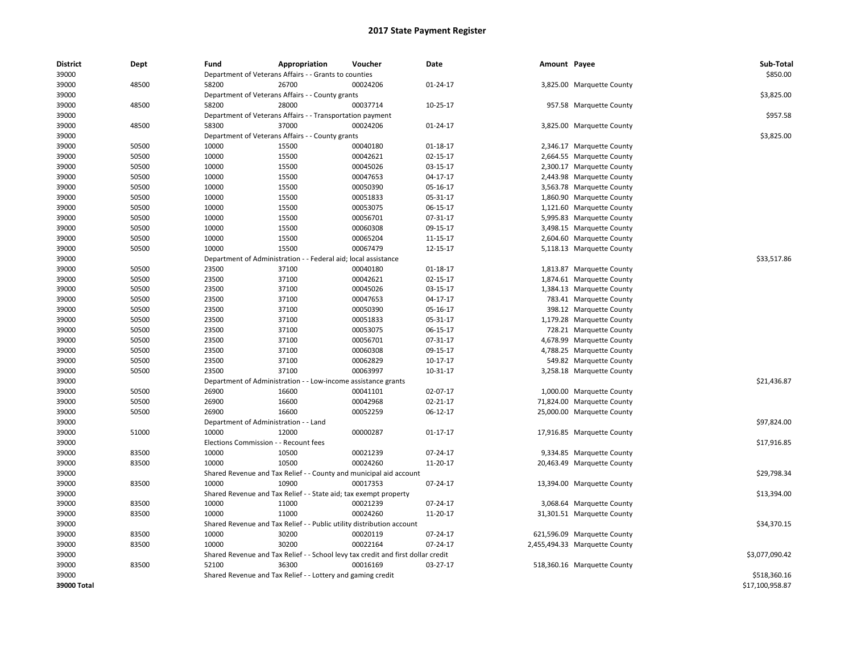| <b>District</b> | Dept  | Fund                         | Appropriation                                                                    | Voucher                           | Date           | Amount Payee |                               | Sub-Total       |
|-----------------|-------|------------------------------|----------------------------------------------------------------------------------|-----------------------------------|----------------|--------------|-------------------------------|-----------------|
| 39000           |       |                              | Department of Veterans Affairs - - Grants to counties                            |                                   |                |              |                               | \$850.00        |
| 39000           | 48500 | 58200                        | 26700                                                                            | 00024206                          | 01-24-17       |              | 3,825.00 Marquette County     |                 |
| 39000           |       |                              | Department of Veterans Affairs - - County grants                                 |                                   |                |              |                               | \$3,825.00      |
| 39000           | 48500 | 58200                        | 28000                                                                            | 00037714                          | 10-25-17       |              | 957.58 Marquette County       |                 |
| 39000           |       |                              | Department of Veterans Affairs - - Transportation payment                        |                                   |                |              |                               | \$957.58        |
| 39000           | 48500 | 58300                        | 37000                                                                            | 00024206                          | $01 - 24 - 17$ |              | 3,825.00 Marquette County     |                 |
| 39000           |       |                              | Department of Veterans Affairs - - County grants                                 |                                   |                |              |                               | \$3,825.00      |
| 39000           | 50500 | 10000                        | 15500                                                                            | 00040180                          | 01-18-17       |              | 2,346.17 Marquette County     |                 |
| 39000           | 50500 | 10000                        | 15500                                                                            | 00042621                          | 02-15-17       |              | 2,664.55 Marquette County     |                 |
| 39000           | 50500 | 10000                        | 15500                                                                            | 00045026                          | 03-15-17       |              | 2,300.17 Marquette County     |                 |
| 39000           | 50500 | 10000                        | 15500                                                                            | 00047653                          | 04-17-17       |              | 2,443.98 Marquette County     |                 |
| 39000           | 50500 | 10000                        | 15500                                                                            | 00050390                          | 05-16-17       |              | 3,563.78 Marquette County     |                 |
| 39000           | 50500 | 10000                        | 15500                                                                            | 00051833                          | 05-31-17       |              | 1,860.90 Marquette County     |                 |
| 39000           | 50500 | 10000                        | 15500                                                                            | 00053075                          | 06-15-17       |              | 1,121.60 Marquette County     |                 |
| 39000           | 50500 | 10000                        | 15500                                                                            | 00056701                          | 07-31-17       |              | 5,995.83 Marquette County     |                 |
| 39000           | 50500 | 10000                        | 15500                                                                            | 00060308                          | 09-15-17       |              | 3,498.15 Marquette County     |                 |
| 39000           | 50500 | 10000                        | 15500                                                                            | 00065204                          | 11-15-17       |              | 2,604.60 Marquette County     |                 |
| 39000           | 50500 | 10000                        | 15500                                                                            | 00067479                          | 12-15-17       |              | 5,118.13 Marquette County     |                 |
| 39000           |       | Department of Administration |                                                                                  | - - Federal aid; local assistance |                |              |                               | \$33,517.86     |
| 39000           | 50500 | 23500                        | 37100                                                                            | 00040180                          | 01-18-17       |              | 1,813.87 Marquette County     |                 |
| 39000           | 50500 | 23500                        | 37100                                                                            | 00042621                          | 02-15-17       |              | 1,874.61 Marquette County     |                 |
| 39000           | 50500 | 23500                        | 37100                                                                            | 00045026                          | 03-15-17       |              | 1,384.13 Marquette County     |                 |
| 39000           | 50500 | 23500                        | 37100                                                                            | 00047653                          | 04-17-17       |              | 783.41 Marquette County       |                 |
| 39000           | 50500 | 23500                        | 37100                                                                            | 00050390                          | 05-16-17       |              | 398.12 Marquette County       |                 |
| 39000           | 50500 | 23500                        | 37100                                                                            | 00051833                          | 05-31-17       |              | 1,179.28 Marquette County     |                 |
| 39000           | 50500 | 23500                        | 37100                                                                            | 00053075                          | 06-15-17       |              | 728.21 Marquette County       |                 |
| 39000           | 50500 | 23500                        | 37100                                                                            | 00056701                          | 07-31-17       |              | 4,678.99 Marquette County     |                 |
| 39000           | 50500 | 23500                        | 37100                                                                            | 00060308                          | 09-15-17       |              | 4,788.25 Marquette County     |                 |
| 39000           | 50500 | 23500                        | 37100                                                                            | 00062829                          | 10-17-17       |              | 549.82 Marquette County       |                 |
| 39000           | 50500 | 23500                        | 37100                                                                            | 00063997                          | 10-31-17       |              | 3,258.18 Marquette County     |                 |
| 39000           |       | Department of Administration |                                                                                  | - Low-income assistance grants    |                |              |                               | \$21,436.87     |
| 39000           | 50500 | 26900                        | 16600                                                                            | 00041101                          | 02-07-17       |              | 1,000.00 Marquette County     |                 |
| 39000           | 50500 | 26900                        | 16600                                                                            | 00042968                          | 02-21-17       |              | 71,824.00 Marquette County    |                 |
| 39000           | 50500 | 26900                        | 16600                                                                            | 00052259                          | 06-12-17       |              | 25,000.00 Marquette County    |                 |
| 39000           |       |                              | Department of Administration - - Land                                            |                                   |                |              |                               | \$97,824.00     |
| 39000           | 51000 | 10000                        | 12000                                                                            | 00000287                          | $01 - 17 - 17$ |              | 17,916.85 Marquette County    |                 |
| 39000           |       |                              | Elections Commission - - Recount fees                                            |                                   |                |              |                               | \$17,916.85     |
| 39000           | 83500 | 10000                        | 10500                                                                            | 00021239                          | 07-24-17       |              | 9,334.85 Marquette County     |                 |
| 39000           | 83500 | 10000                        | 10500                                                                            | 00024260                          | 11-20-17       |              | 20,463.49 Marquette County    |                 |
| 39000           |       |                              | Shared Revenue and Tax Relief - - County and municipal aid account               |                                   |                |              |                               | \$29,798.34     |
| 39000           | 83500 | 10000                        | 10900                                                                            | 00017353                          | 07-24-17       |              | 13,394.00 Marquette County    |                 |
| 39000           |       |                              | Shared Revenue and Tax Relief - - State aid; tax exempt property                 |                                   |                |              |                               | \$13,394.00     |
| 39000           | 83500 | 10000                        | 11000                                                                            | 00021239                          | 07-24-17       |              | 3,068.64 Marquette County     |                 |
| 39000           | 83500 | 10000                        | 11000                                                                            | 00024260                          | 11-20-17       |              | 31,301.51 Marquette County    |                 |
| 39000           |       |                              | Shared Revenue and Tax Relief - - Public utility distribution account            |                                   |                |              |                               | \$34,370.15     |
| 39000           | 83500 | 10000                        | 30200                                                                            | 00020119                          | 07-24-17       |              | 621,596.09 Marquette County   |                 |
| 39000           | 83500 | 10000                        | 30200                                                                            | 00022164                          | 07-24-17       |              | 2,455,494.33 Marquette County |                 |
| 39000           |       |                              | Shared Revenue and Tax Relief - - School levy tax credit and first dollar credit |                                   |                |              |                               | \$3,077,090.42  |
| 39000           | 83500 | 52100                        | 36300                                                                            | 00016169                          | 03-27-17       |              | 518,360.16 Marquette County   |                 |
| 39000           |       |                              | Shared Revenue and Tax Relief - - Lottery and gaming credit                      |                                   |                |              |                               | \$518,360.16    |
| 39000 Total     |       |                              |                                                                                  |                                   |                |              |                               | \$17,100,958.87 |
|                 |       |                              |                                                                                  |                                   |                |              |                               |                 |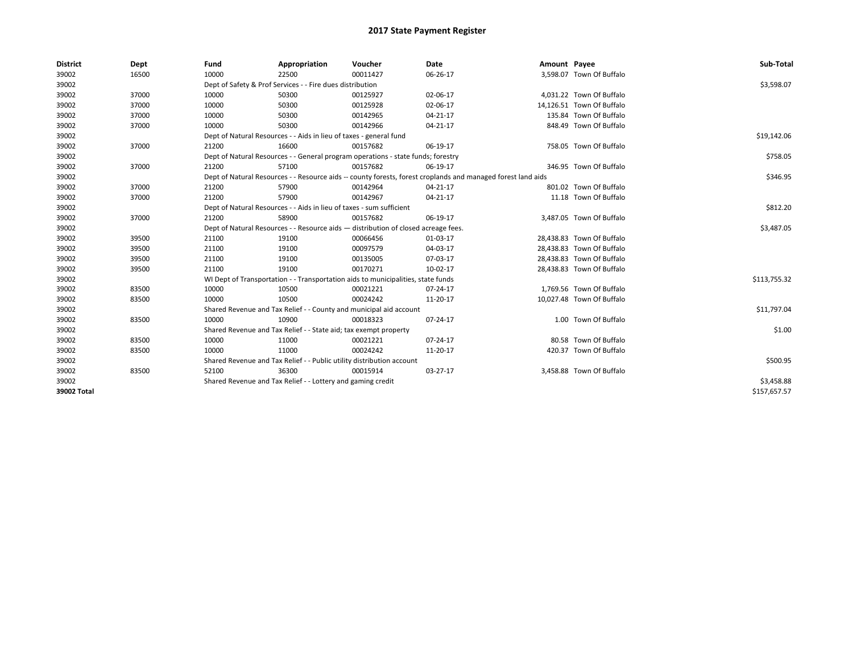| <b>District</b> | Dept  | Fund  | Appropriation                                                                                                | Voucher  | Date           | Amount Payee |                           | Sub-Total    |
|-----------------|-------|-------|--------------------------------------------------------------------------------------------------------------|----------|----------------|--------------|---------------------------|--------------|
| 39002           | 16500 | 10000 | 22500                                                                                                        | 00011427 | 06-26-17       |              | 3,598.07 Town Of Buffalo  |              |
| 39002           |       |       | Dept of Safety & Prof Services - - Fire dues distribution                                                    |          |                |              |                           | \$3,598.07   |
| 39002           | 37000 | 10000 | 50300                                                                                                        | 00125927 | 02-06-17       |              | 4,031.22 Town Of Buffalo  |              |
| 39002           | 37000 | 10000 | 50300                                                                                                        | 00125928 | 02-06-17       |              | 14,126.51 Town Of Buffalo |              |
| 39002           | 37000 | 10000 | 50300                                                                                                        | 00142965 | 04-21-17       |              | 135.84 Town Of Buffalo    |              |
| 39002           | 37000 | 10000 | 50300                                                                                                        | 00142966 | 04-21-17       |              | 848.49 Town Of Buffalo    |              |
| 39002           |       |       | Dept of Natural Resources - - Aids in lieu of taxes - general fund                                           |          |                |              |                           | \$19,142.06  |
| 39002           | 37000 | 21200 | 16600                                                                                                        | 00157682 | 06-19-17       |              | 758.05 Town Of Buffalo    |              |
| 39002           |       |       | Dept of Natural Resources - - General program operations - state funds; forestry                             |          |                |              |                           | \$758.05     |
| 39002           | 37000 | 21200 | 57100                                                                                                        | 00157682 | 06-19-17       |              | 346.95 Town Of Buffalo    |              |
| 39002           |       |       | Dept of Natural Resources - - Resource aids -- county forests, forest croplands and managed forest land aids |          |                |              |                           | \$346.95     |
| 39002           | 37000 | 21200 | 57900                                                                                                        | 00142964 | $04 - 21 - 17$ |              | 801.02 Town Of Buffalo    |              |
| 39002           | 37000 | 21200 | 57900                                                                                                        | 00142967 | 04-21-17       |              | 11.18 Town Of Buffalo     |              |
| 39002           |       |       | Dept of Natural Resources - - Aids in lieu of taxes - sum sufficient                                         |          |                |              |                           | \$812.20     |
| 39002           | 37000 | 21200 | 58900                                                                                                        | 00157682 | 06-19-17       |              | 3,487.05 Town Of Buffalo  |              |
| 39002           |       |       | Dept of Natural Resources - - Resource aids - distribution of closed acreage fees.                           |          |                |              |                           | \$3,487.05   |
| 39002           | 39500 | 21100 | 19100                                                                                                        | 00066456 | 01-03-17       |              | 28,438.83 Town Of Buffalo |              |
| 39002           | 39500 | 21100 | 19100                                                                                                        | 00097579 | 04-03-17       |              | 28,438.83 Town Of Buffalo |              |
| 39002           | 39500 | 21100 | 19100                                                                                                        | 00135005 | 07-03-17       |              | 28,438.83 Town Of Buffalo |              |
| 39002           | 39500 | 21100 | 19100                                                                                                        | 00170271 | 10-02-17       |              | 28,438.83 Town Of Buffalo |              |
| 39002           |       |       | WI Dept of Transportation - - Transportation aids to municipalities, state funds                             |          |                |              |                           | \$113,755.32 |
| 39002           | 83500 | 10000 | 10500                                                                                                        | 00021221 | 07-24-17       |              | 1,769.56 Town Of Buffalo  |              |
| 39002           | 83500 | 10000 | 10500                                                                                                        | 00024242 | 11-20-17       |              | 10,027.48 Town Of Buffalo |              |
| 39002           |       |       | Shared Revenue and Tax Relief - - County and municipal aid account                                           |          |                |              |                           | \$11,797.04  |
| 39002           | 83500 | 10000 | 10900                                                                                                        | 00018323 | 07-24-17       |              | 1.00 Town Of Buffalo      |              |
| 39002           |       |       | Shared Revenue and Tax Relief - - State aid; tax exempt property                                             |          |                |              |                           | \$1.00       |
| 39002           | 83500 | 10000 | 11000                                                                                                        | 00021221 | 07-24-17       |              | 80.58 Town Of Buffalo     |              |
| 39002           | 83500 | 10000 | 11000                                                                                                        | 00024242 | 11-20-17       |              | 420.37 Town Of Buffalo    |              |
| 39002           |       |       | Shared Revenue and Tax Relief - - Public utility distribution account                                        |          |                |              |                           | \$500.95     |
| 39002           | 83500 | 52100 | 36300                                                                                                        | 00015914 | 03-27-17       |              | 3,458.88 Town Of Buffalo  |              |
| 39002           |       |       | Shared Revenue and Tax Relief - - Lottery and gaming credit                                                  |          |                |              |                           | \$3,458.88   |
| 39002 Total     |       |       |                                                                                                              |          |                |              |                           | \$157,657.57 |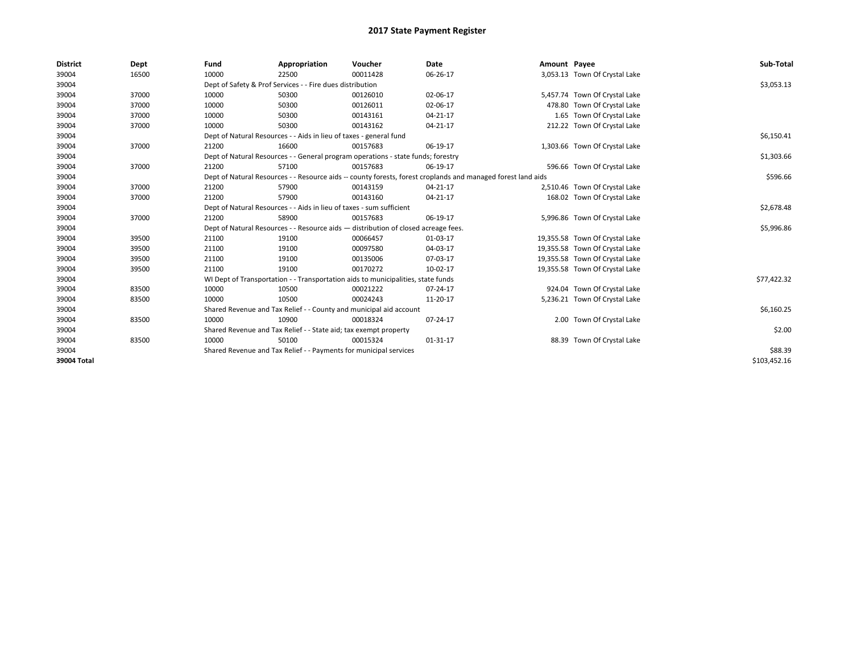| <b>District</b> | Dept  | Fund  | Appropriation                                                                                                | Voucher  | Date           | Amount Payee |                                | Sub-Total    |  |  |
|-----------------|-------|-------|--------------------------------------------------------------------------------------------------------------|----------|----------------|--------------|--------------------------------|--------------|--|--|
| 39004           | 16500 | 10000 | 22500                                                                                                        | 00011428 | 06-26-17       |              | 3,053.13 Town Of Crystal Lake  |              |  |  |
| 39004           |       |       | Dept of Safety & Prof Services - - Fire dues distribution                                                    |          |                |              |                                | \$3,053.13   |  |  |
| 39004           | 37000 | 10000 | 50300                                                                                                        | 00126010 | 02-06-17       |              | 5,457.74 Town Of Crystal Lake  |              |  |  |
| 39004           | 37000 | 10000 | 50300                                                                                                        | 00126011 | 02-06-17       |              | 478.80 Town Of Crystal Lake    |              |  |  |
| 39004           | 37000 | 10000 | 50300                                                                                                        | 00143161 | 04-21-17       |              | 1.65 Town Of Crystal Lake      |              |  |  |
| 39004           | 37000 | 10000 | 50300                                                                                                        | 00143162 | 04-21-17       |              | 212.22 Town Of Crystal Lake    |              |  |  |
| 39004           |       |       | Dept of Natural Resources - - Aids in lieu of taxes - general fund                                           |          |                |              |                                |              |  |  |
| 39004           | 37000 | 21200 | 16600                                                                                                        | 00157683 | 06-19-17       |              | 1,303.66 Town Of Crystal Lake  |              |  |  |
| 39004           |       |       | Dept of Natural Resources - - General program operations - state funds; forestry                             |          |                |              |                                | \$1,303.66   |  |  |
| 39004           | 37000 | 21200 | 57100                                                                                                        | 00157683 | 06-19-17       |              | 596.66 Town Of Crystal Lake    |              |  |  |
| 39004           |       |       | Dept of Natural Resources - - Resource aids -- county forests, forest croplands and managed forest land aids |          |                |              |                                | \$596.66     |  |  |
| 39004           | 37000 | 21200 | 57900                                                                                                        | 00143159 | 04-21-17       |              | 2,510.46 Town Of Crystal Lake  |              |  |  |
| 39004           | 37000 | 21200 | 57900                                                                                                        | 00143160 | 04-21-17       |              | 168.02 Town Of Crystal Lake    |              |  |  |
| 39004           |       |       | Dept of Natural Resources - - Aids in lieu of taxes - sum sufficient                                         |          |                |              |                                |              |  |  |
| 39004           | 37000 | 21200 | 58900                                                                                                        | 00157683 | 06-19-17       |              | 5,996.86 Town Of Crystal Lake  |              |  |  |
| 39004           |       |       | Dept of Natural Resources - - Resource aids - distribution of closed acreage fees.                           |          |                |              |                                | \$5,996.86   |  |  |
| 39004           | 39500 | 21100 | 19100                                                                                                        | 00066457 | 01-03-17       |              | 19,355.58 Town Of Crystal Lake |              |  |  |
| 39004           | 39500 | 21100 | 19100                                                                                                        | 00097580 | 04-03-17       |              | 19,355.58 Town Of Crystal Lake |              |  |  |
| 39004           | 39500 | 21100 | 19100                                                                                                        | 00135006 | 07-03-17       |              | 19,355.58 Town Of Crystal Lake |              |  |  |
| 39004           | 39500 | 21100 | 19100                                                                                                        | 00170272 | 10-02-17       |              | 19,355.58 Town Of Crystal Lake |              |  |  |
| 39004           |       |       | WI Dept of Transportation - - Transportation aids to municipalities, state funds                             |          |                |              |                                | \$77,422.32  |  |  |
| 39004           | 83500 | 10000 | 10500                                                                                                        | 00021222 | $07 - 24 - 17$ |              | 924.04 Town Of Crystal Lake    |              |  |  |
| 39004           | 83500 | 10000 | 10500                                                                                                        | 00024243 | 11-20-17       |              | 5,236.21 Town Of Crystal Lake  |              |  |  |
| 39004           |       |       | Shared Revenue and Tax Relief - - County and municipal aid account                                           |          |                |              |                                | \$6,160.25   |  |  |
| 39004           | 83500 | 10000 | 10900                                                                                                        | 00018324 | 07-24-17       |              | 2.00 Town Of Crystal Lake      |              |  |  |
| 39004           |       |       | Shared Revenue and Tax Relief - - State aid; tax exempt property                                             |          |                |              |                                | \$2.00       |  |  |
| 39004           | 83500 | 10000 | 50100                                                                                                        | 00015324 | $01 - 31 - 17$ |              | 88.39 Town Of Crystal Lake     |              |  |  |
| 39004           |       |       | Shared Revenue and Tax Relief - - Payments for municipal services                                            |          |                |              |                                | \$88.39      |  |  |
| 39004 Total     |       |       |                                                                                                              |          |                |              |                                | \$103,452.16 |  |  |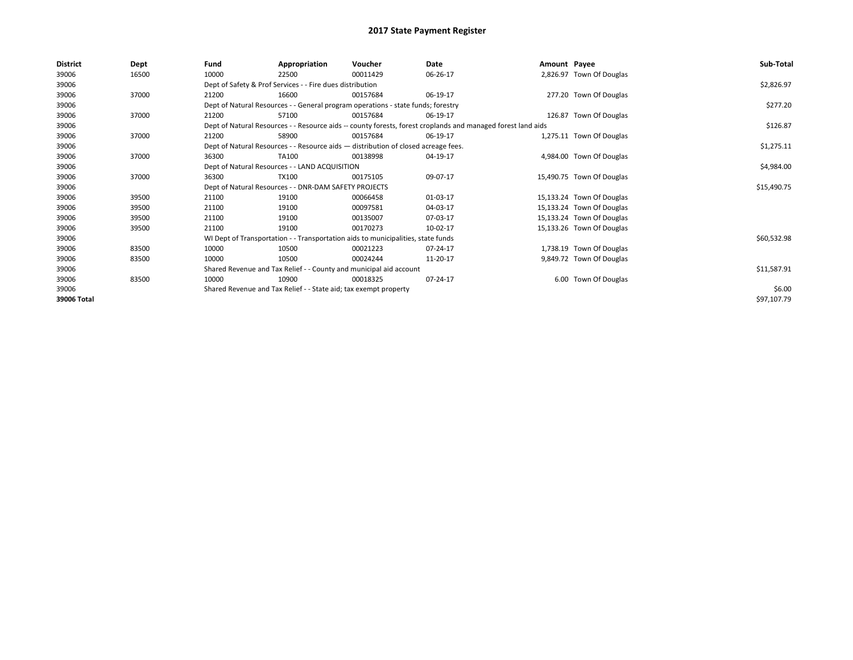| <b>District</b> | Dept  | Fund  | Appropriation                                                                      | Voucher  | Date                                                                                                         | Amount Payee |                           | Sub-Total   |
|-----------------|-------|-------|------------------------------------------------------------------------------------|----------|--------------------------------------------------------------------------------------------------------------|--------------|---------------------------|-------------|
| 39006           | 16500 | 10000 | 22500                                                                              | 00011429 | 06-26-17                                                                                                     |              | 2,826.97 Town Of Douglas  |             |
| 39006           |       |       | Dept of Safety & Prof Services - - Fire dues distribution                          |          |                                                                                                              |              |                           | \$2,826.97  |
| 39006           | 37000 | 21200 | 16600                                                                              | 00157684 | 06-19-17                                                                                                     |              | 277.20 Town Of Douglas    |             |
| 39006           |       |       | Dept of Natural Resources - - General program operations - state funds; forestry   |          |                                                                                                              |              |                           | \$277.20    |
| 39006           | 37000 | 21200 | 57100                                                                              | 00157684 | 06-19-17                                                                                                     |              | 126.87 Town Of Douglas    |             |
| 39006           |       |       |                                                                                    |          | Dept of Natural Resources - - Resource aids -- county forests, forest croplands and managed forest land aids |              |                           | \$126.87    |
| 39006           | 37000 | 21200 | 58900                                                                              | 00157684 | 06-19-17                                                                                                     |              | 1,275.11 Town Of Douglas  |             |
| 39006           |       |       | Dept of Natural Resources - - Resource aids - distribution of closed acreage fees. |          |                                                                                                              |              |                           | \$1,275.11  |
| 39006           | 37000 | 36300 | TA100                                                                              | 00138998 | 04-19-17                                                                                                     |              | 4,984.00 Town Of Douglas  |             |
| 39006           |       |       | Dept of Natural Resources - - LAND ACQUISITION                                     |          |                                                                                                              |              |                           | \$4,984.00  |
| 39006           | 37000 | 36300 | TX100                                                                              | 00175105 | 09-07-17                                                                                                     |              | 15,490.75 Town Of Douglas |             |
| 39006           |       |       | Dept of Natural Resources - - DNR-DAM SAFETY PROJECTS                              |          |                                                                                                              |              |                           | \$15,490.75 |
| 39006           | 39500 | 21100 | 19100                                                                              | 00066458 | 01-03-17                                                                                                     |              | 15,133.24 Town Of Douglas |             |
| 39006           | 39500 | 21100 | 19100                                                                              | 00097581 | 04-03-17                                                                                                     |              | 15,133.24 Town Of Douglas |             |
| 39006           | 39500 | 21100 | 19100                                                                              | 00135007 | 07-03-17                                                                                                     |              | 15,133.24 Town Of Douglas |             |
| 39006           | 39500 | 21100 | 19100                                                                              | 00170273 | 10-02-17                                                                                                     |              | 15,133.26 Town Of Douglas |             |
| 39006           |       |       | WI Dept of Transportation - - Transportation aids to municipalities, state funds   |          |                                                                                                              |              |                           | \$60,532.98 |
| 39006           | 83500 | 10000 | 10500                                                                              | 00021223 | 07-24-17                                                                                                     |              | 1,738.19 Town Of Douglas  |             |
| 39006           | 83500 | 10000 | 10500                                                                              | 00024244 | 11-20-17                                                                                                     |              | 9,849.72 Town Of Douglas  |             |
| 39006           |       |       | Shared Revenue and Tax Relief - - County and municipal aid account                 |          |                                                                                                              |              |                           | \$11,587.91 |
| 39006           | 83500 | 10000 | 10900                                                                              | 00018325 | 07-24-17                                                                                                     |              | 6.00 Town Of Douglas      |             |
| 39006           |       |       | Shared Revenue and Tax Relief - - State aid; tax exempt property                   |          |                                                                                                              |              |                           | \$6.00      |
| 39006 Total     |       |       |                                                                                    |          |                                                                                                              |              |                           | \$97,107.79 |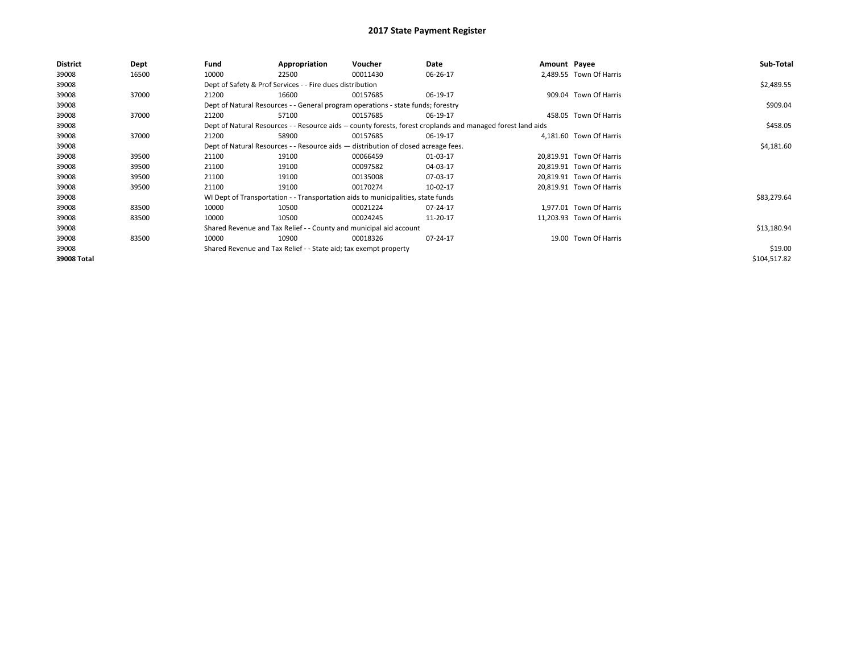| District    | Dept  | Fund  | Appropriation                                                                      | Voucher  | Date                                                                                                         | Amount Payee |                          | Sub-Total    |
|-------------|-------|-------|------------------------------------------------------------------------------------|----------|--------------------------------------------------------------------------------------------------------------|--------------|--------------------------|--------------|
| 39008       | 16500 | 10000 | 22500                                                                              | 00011430 | 06-26-17                                                                                                     |              | 2.489.55 Town Of Harris  |              |
| 39008       |       |       | Dept of Safety & Prof Services - - Fire dues distribution                          |          |                                                                                                              |              |                          | \$2,489.55   |
| 39008       | 37000 | 21200 | 16600                                                                              | 00157685 | 06-19-17                                                                                                     |              | 909.04 Town Of Harris    |              |
| 39008       |       |       | Dept of Natural Resources - - General program operations - state funds; forestry   |          |                                                                                                              |              |                          | \$909.04     |
| 39008       | 37000 | 21200 | 57100                                                                              | 00157685 | 06-19-17                                                                                                     |              | 458.05 Town Of Harris    |              |
| 39008       |       |       |                                                                                    |          | Dept of Natural Resources - - Resource aids -- county forests, forest croplands and managed forest land aids |              |                          | \$458.05     |
| 39008       | 37000 | 21200 | 58900                                                                              | 00157685 | 06-19-17                                                                                                     |              | 4,181.60 Town Of Harris  |              |
| 39008       |       |       | Dept of Natural Resources - - Resource aids - distribution of closed acreage fees. |          |                                                                                                              |              |                          | \$4,181.60   |
| 39008       | 39500 | 21100 | 19100                                                                              | 00066459 | 01-03-17                                                                                                     |              | 20.819.91 Town Of Harris |              |
| 39008       | 39500 | 21100 | 19100                                                                              | 00097582 | 04-03-17                                                                                                     |              | 20,819.91 Town Of Harris |              |
| 39008       | 39500 | 21100 | 19100                                                                              | 00135008 | 07-03-17                                                                                                     |              | 20,819.91 Town Of Harris |              |
| 39008       | 39500 | 21100 | 19100                                                                              | 00170274 | 10-02-17                                                                                                     |              | 20,819.91 Town Of Harris |              |
| 39008       |       |       | WI Dept of Transportation - - Transportation aids to municipalities, state funds   |          |                                                                                                              |              |                          | \$83,279.64  |
| 39008       | 83500 | 10000 | 10500                                                                              | 00021224 | 07-24-17                                                                                                     |              | 1.977.01 Town Of Harris  |              |
| 39008       | 83500 | 10000 | 10500                                                                              | 00024245 | 11-20-17                                                                                                     |              | 11,203.93 Town Of Harris |              |
| 39008       |       |       | Shared Revenue and Tax Relief - - County and municipal aid account                 |          |                                                                                                              |              |                          | \$13,180.94  |
| 39008       | 83500 | 10000 | 10900                                                                              | 00018326 | 07-24-17                                                                                                     |              | 19.00 Town Of Harris     |              |
| 39008       |       |       | Shared Revenue and Tax Relief - - State aid; tax exempt property                   |          |                                                                                                              |              |                          | \$19.00      |
| 39008 Total |       |       |                                                                                    |          |                                                                                                              |              |                          | \$104,517.82 |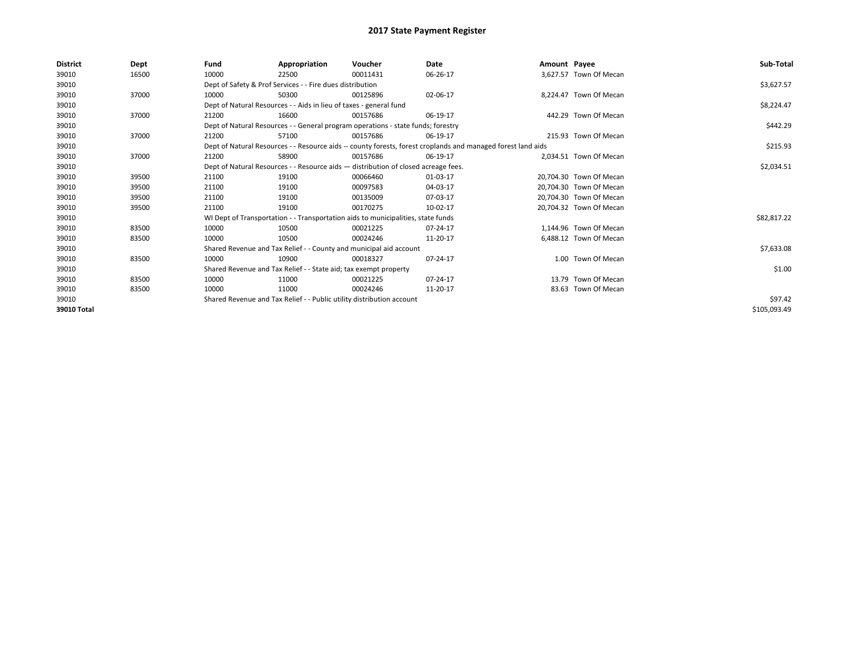| <b>District</b> | Dept  | Fund  | Appropriation                                                                      | Voucher  | Date                                                                                                         | Amount Payee |                         | Sub-Total    |
|-----------------|-------|-------|------------------------------------------------------------------------------------|----------|--------------------------------------------------------------------------------------------------------------|--------------|-------------------------|--------------|
| 39010           | 16500 | 10000 | 22500                                                                              | 00011431 | 06-26-17                                                                                                     |              | 3,627.57 Town Of Mecan  |              |
| 39010           |       |       | Dept of Safety & Prof Services - - Fire dues distribution                          |          |                                                                                                              |              |                         | \$3,627.57   |
| 39010           | 37000 | 10000 | 50300                                                                              | 00125896 | 02-06-17                                                                                                     |              | 8,224.47 Town Of Mecan  |              |
| 39010           |       |       | Dept of Natural Resources - - Aids in lieu of taxes - general fund                 |          |                                                                                                              |              |                         | \$8,224.47   |
| 39010           | 37000 | 21200 | 16600                                                                              | 00157686 | 06-19-17                                                                                                     |              | 442.29 Town Of Mecan    |              |
| 39010           |       |       | Dept of Natural Resources - - General program operations - state funds; forestry   |          |                                                                                                              |              |                         | \$442.29     |
| 39010           | 37000 | 21200 | 57100                                                                              | 00157686 | 06-19-17                                                                                                     |              | 215.93 Town Of Mecan    |              |
| 39010           |       |       |                                                                                    |          | Dept of Natural Resources - - Resource aids -- county forests, forest croplands and managed forest land aids |              |                         | \$215.93     |
| 39010           | 37000 | 21200 | 58900                                                                              | 00157686 | 06-19-17                                                                                                     |              | 2,034.51 Town Of Mecan  |              |
| 39010           |       |       | Dept of Natural Resources - - Resource aids - distribution of closed acreage fees. |          |                                                                                                              |              |                         | \$2,034.51   |
| 39010           | 39500 | 21100 | 19100                                                                              | 00066460 | 01-03-17                                                                                                     |              | 20.704.30 Town Of Mecan |              |
| 39010           | 39500 | 21100 | 19100                                                                              | 00097583 | 04-03-17                                                                                                     |              | 20,704.30 Town Of Mecan |              |
| 39010           | 39500 | 21100 | 19100                                                                              | 00135009 | 07-03-17                                                                                                     |              | 20.704.30 Town Of Mecan |              |
| 39010           | 39500 | 21100 | 19100                                                                              | 00170275 | 10-02-17                                                                                                     |              | 20,704.32 Town Of Mecan |              |
| 39010           |       |       | WI Dept of Transportation - - Transportation aids to municipalities, state funds   |          |                                                                                                              |              |                         | \$82,817.22  |
| 39010           | 83500 | 10000 | 10500                                                                              | 00021225 | 07-24-17                                                                                                     |              | 1,144.96 Town Of Mecan  |              |
| 39010           | 83500 | 10000 | 10500                                                                              | 00024246 | 11-20-17                                                                                                     |              | 6,488.12 Town Of Mecan  |              |
| 39010           |       |       | Shared Revenue and Tax Relief - - County and municipal aid account                 |          |                                                                                                              |              |                         | \$7,633.08   |
| 39010           | 83500 | 10000 | 10900                                                                              | 00018327 | 07-24-17                                                                                                     |              | 1.00 Town Of Mecan      |              |
| 39010           |       |       | Shared Revenue and Tax Relief - - State aid; tax exempt property                   |          |                                                                                                              |              |                         | \$1.00       |
| 39010           | 83500 | 10000 | 11000                                                                              | 00021225 | 07-24-17                                                                                                     |              | 13.79 Town Of Mecan     |              |
| 39010           | 83500 | 10000 | 11000                                                                              | 00024246 | 11-20-17                                                                                                     |              | 83.63 Town Of Mecan     |              |
| 39010           |       |       | Shared Revenue and Tax Relief - - Public utility distribution account              |          |                                                                                                              |              |                         | \$97.42      |
| 39010 Total     |       |       |                                                                                    |          |                                                                                                              |              |                         | \$105,093.49 |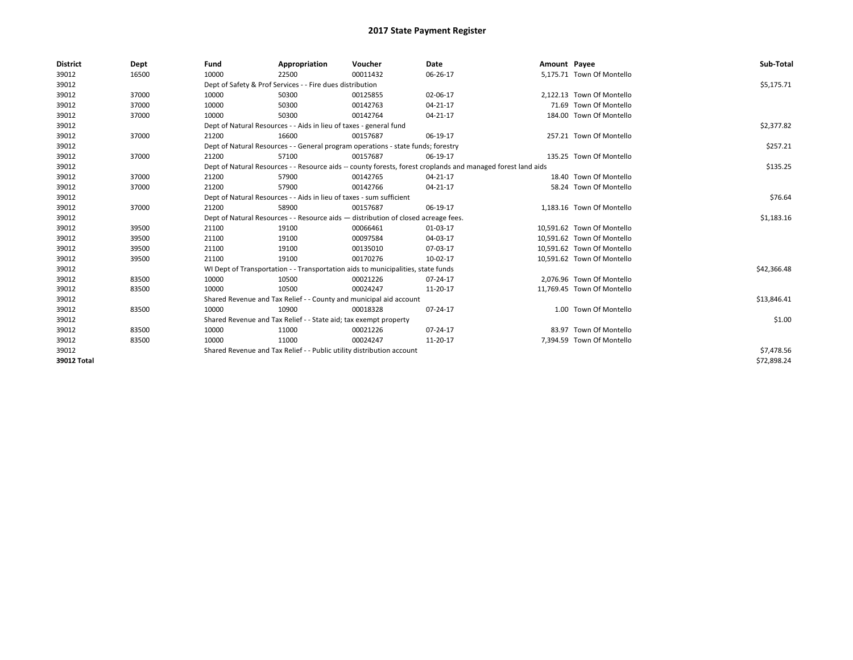| <b>District</b> | Dept  | Fund                                                                 | Appropriation                                                                      | Voucher  | Date                                                                                                         | Amount Payee |                            | Sub-Total   |
|-----------------|-------|----------------------------------------------------------------------|------------------------------------------------------------------------------------|----------|--------------------------------------------------------------------------------------------------------------|--------------|----------------------------|-------------|
| 39012           | 16500 | 10000                                                                | 22500                                                                              | 00011432 | 06-26-17                                                                                                     |              | 5,175.71 Town Of Montello  |             |
| 39012           |       |                                                                      | Dept of Safety & Prof Services - - Fire dues distribution                          |          |                                                                                                              |              |                            | \$5,175.71  |
| 39012           | 37000 | 10000                                                                | 50300                                                                              | 00125855 | 02-06-17                                                                                                     |              | 2.122.13 Town Of Montello  |             |
| 39012           | 37000 | 10000                                                                | 50300                                                                              | 00142763 | 04-21-17                                                                                                     |              | 71.69 Town Of Montello     |             |
| 39012           | 37000 | 10000                                                                | 50300                                                                              | 00142764 | 04-21-17                                                                                                     |              | 184.00 Town Of Montello    |             |
| 39012           |       |                                                                      | Dept of Natural Resources - - Aids in lieu of taxes - general fund                 |          |                                                                                                              |              |                            | \$2,377.82  |
| 39012           | 37000 | 21200                                                                | 16600                                                                              | 00157687 | 06-19-17                                                                                                     |              | 257.21 Town Of Montello    |             |
| 39012           |       |                                                                      | Dept of Natural Resources - - General program operations - state funds; forestry   |          |                                                                                                              |              |                            | \$257.21    |
| 39012           | 37000 | 21200                                                                | 57100                                                                              | 00157687 | 06-19-17                                                                                                     |              | 135.25 Town Of Montello    |             |
| 39012           |       |                                                                      |                                                                                    |          | Dept of Natural Resources - - Resource aids -- county forests, forest croplands and managed forest land aids |              |                            | \$135.25    |
| 39012           | 37000 | 21200                                                                | 57900                                                                              | 00142765 | 04-21-17                                                                                                     |              | 18.40 Town Of Montello     |             |
| 39012           | 37000 | 21200                                                                | 57900                                                                              | 00142766 | 04-21-17                                                                                                     |              | 58.24 Town Of Montello     |             |
| 39012           |       | Dept of Natural Resources - - Aids in lieu of taxes - sum sufficient |                                                                                    | \$76.64  |                                                                                                              |              |                            |             |
| 39012           | 37000 | 21200                                                                | 58900                                                                              | 00157687 | 06-19-17                                                                                                     |              | 1,183.16 Town Of Montello  |             |
| 39012           |       |                                                                      | Dept of Natural Resources - - Resource aids - distribution of closed acreage fees. |          |                                                                                                              |              |                            | \$1,183.16  |
| 39012           | 39500 | 21100                                                                | 19100                                                                              | 00066461 | 01-03-17                                                                                                     |              | 10,591.62 Town Of Montello |             |
| 39012           | 39500 | 21100                                                                | 19100                                                                              | 00097584 | 04-03-17                                                                                                     |              | 10,591.62 Town Of Montello |             |
| 39012           | 39500 | 21100                                                                | 19100                                                                              | 00135010 | 07-03-17                                                                                                     |              | 10,591.62 Town Of Montello |             |
| 39012           | 39500 | 21100                                                                | 19100                                                                              | 00170276 | 10-02-17                                                                                                     |              | 10,591.62 Town Of Montello |             |
| 39012           |       |                                                                      | WI Dept of Transportation - - Transportation aids to municipalities, state funds   |          |                                                                                                              |              |                            | \$42,366.48 |
| 39012           | 83500 | 10000                                                                | 10500                                                                              | 00021226 | 07-24-17                                                                                                     |              | 2.076.96 Town Of Montello  |             |
| 39012           | 83500 | 10000                                                                | 10500                                                                              | 00024247 | 11-20-17                                                                                                     |              | 11.769.45 Town Of Montello |             |
| 39012           |       |                                                                      | Shared Revenue and Tax Relief - - County and municipal aid account                 |          |                                                                                                              |              |                            | \$13,846.41 |
| 39012           | 83500 | 10000                                                                | 10900                                                                              | 00018328 | 07-24-17                                                                                                     |              | 1.00 Town Of Montello      |             |
| 39012           |       |                                                                      | Shared Revenue and Tax Relief - - State aid; tax exempt property                   |          |                                                                                                              |              |                            | \$1.00      |
| 39012           | 83500 | 10000                                                                | 11000                                                                              | 00021226 | 07-24-17                                                                                                     |              | 83.97 Town Of Montello     |             |
| 39012           | 83500 | 10000                                                                | 11000                                                                              | 00024247 | 11-20-17                                                                                                     |              | 7,394.59 Town Of Montello  |             |
| 39012           |       |                                                                      | Shared Revenue and Tax Relief - - Public utility distribution account              |          |                                                                                                              |              |                            | \$7,478.56  |
| 39012 Total     |       |                                                                      |                                                                                    |          |                                                                                                              |              |                            | \$72,898.24 |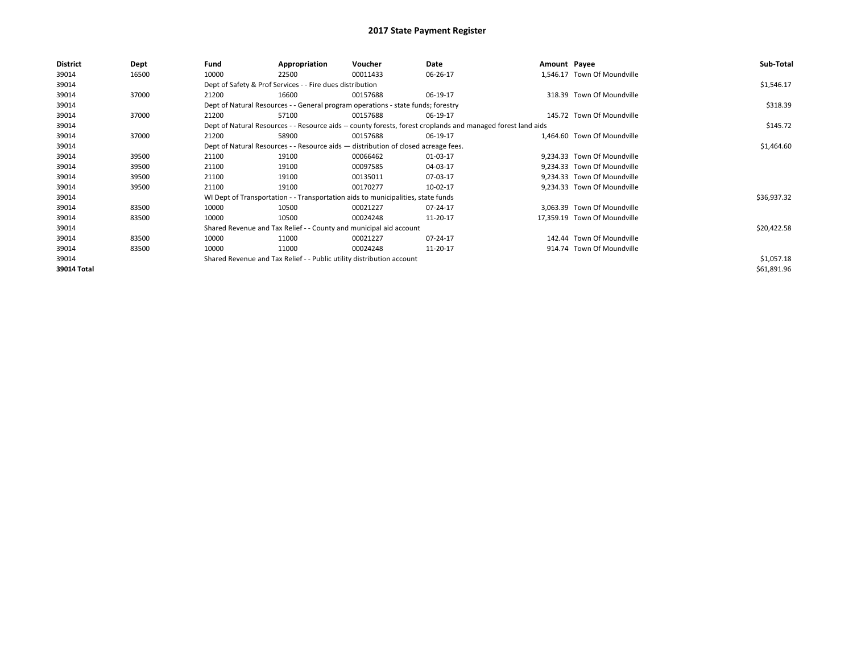| <b>District</b> | Dept  | Fund  | Appropriation                                                                                                | Voucher  | Date       | Amount Payee |                              | Sub-Total   |
|-----------------|-------|-------|--------------------------------------------------------------------------------------------------------------|----------|------------|--------------|------------------------------|-------------|
| 39014           | 16500 | 10000 | 22500                                                                                                        | 00011433 | 06-26-17   |              | 1,546.17 Town Of Moundville  |             |
| 39014           |       |       | Dept of Safety & Prof Services - - Fire dues distribution                                                    |          |            |              |                              | \$1,546.17  |
| 39014           | 37000 | 21200 | 16600                                                                                                        | 00157688 | 06-19-17   |              | 318.39 Town Of Moundville    |             |
| 39014           |       |       | Dept of Natural Resources - - General program operations - state funds; forestry                             |          |            |              |                              | \$318.39    |
| 39014           | 37000 | 21200 | 57100                                                                                                        | 00157688 | 06-19-17   |              | 145.72 Town Of Moundville    |             |
| 39014           |       |       | Dept of Natural Resources - - Resource aids -- county forests, forest croplands and managed forest land aids |          |            |              |                              | \$145.72    |
| 39014           | 37000 | 21200 | 58900                                                                                                        | 00157688 | 06-19-17   |              | 1,464.60 Town Of Moundville  |             |
| 39014           |       |       | Dept of Natural Resources - - Resource aids - distribution of closed acreage fees.                           |          | \$1,464.60 |              |                              |             |
| 39014           | 39500 | 21100 | 19100                                                                                                        | 00066462 | 01-03-17   |              | 9,234.33 Town Of Moundville  |             |
| 39014           | 39500 | 21100 | 19100                                                                                                        | 00097585 | 04-03-17   |              | 9.234.33 Town Of Moundville  |             |
| 39014           | 39500 | 21100 | 19100                                                                                                        | 00135011 | 07-03-17   |              | 9,234.33 Town Of Moundville  |             |
| 39014           | 39500 | 21100 | 19100                                                                                                        | 00170277 | 10-02-17   |              | 9,234.33 Town Of Moundville  |             |
| 39014           |       |       | WI Dept of Transportation - - Transportation aids to municipalities, state funds                             |          |            |              |                              | \$36,937.32 |
| 39014           | 83500 | 10000 | 10500                                                                                                        | 00021227 | 07-24-17   |              | 3,063.39 Town Of Moundville  |             |
| 39014           | 83500 | 10000 | 10500                                                                                                        | 00024248 | 11-20-17   |              | 17,359.19 Town Of Moundville |             |
| 39014           |       |       | Shared Revenue and Tax Relief - - County and municipal aid account                                           |          |            |              |                              | \$20,422.58 |
| 39014           | 83500 | 10000 | 11000                                                                                                        | 00021227 | 07-24-17   |              | 142.44 Town Of Moundville    |             |
| 39014           | 83500 | 10000 | 11000                                                                                                        | 00024248 | 11-20-17   |              | 914.74 Town Of Moundville    |             |
| 39014           |       |       | Shared Revenue and Tax Relief - - Public utility distribution account                                        |          |            |              |                              | \$1,057.18  |
| 39014 Total     |       |       |                                                                                                              |          |            |              |                              | \$61,891.96 |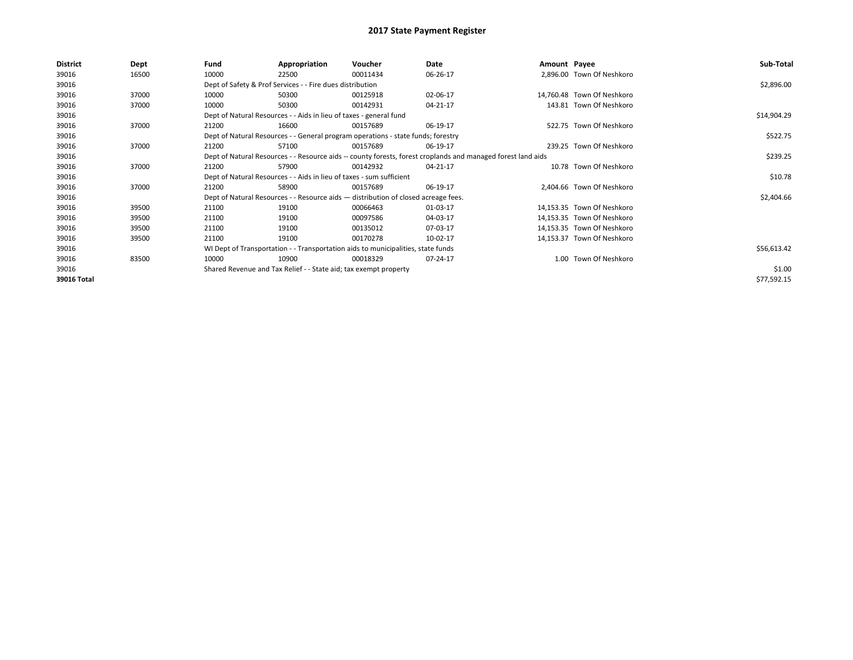| <b>District</b> | Dept  | Fund  | Appropriation                                                                      | Voucher  | Date                                                                                                         | Amount Payee |                            | Sub-Total   |
|-----------------|-------|-------|------------------------------------------------------------------------------------|----------|--------------------------------------------------------------------------------------------------------------|--------------|----------------------------|-------------|
| 39016           | 16500 | 10000 | 22500                                                                              | 00011434 | 06-26-17                                                                                                     |              | 2,896.00 Town Of Neshkoro  |             |
| 39016           |       |       | Dept of Safety & Prof Services - - Fire dues distribution                          |          |                                                                                                              |              |                            | \$2,896.00  |
| 39016           | 37000 | 10000 | 50300                                                                              | 00125918 | 02-06-17                                                                                                     |              | 14,760.48 Town Of Neshkoro |             |
| 39016           | 37000 | 10000 | 50300                                                                              | 00142931 | 04-21-17                                                                                                     |              | 143.81 Town Of Neshkoro    |             |
| 39016           |       |       | Dept of Natural Resources - - Aids in lieu of taxes - general fund                 |          |                                                                                                              |              |                            | \$14,904.29 |
| 39016           | 37000 | 21200 | 16600                                                                              | 00157689 | 06-19-17                                                                                                     |              | 522.75 Town Of Neshkoro    |             |
| 39016           |       |       | Dept of Natural Resources - - General program operations - state funds; forestry   |          |                                                                                                              |              |                            | \$522.75    |
| 39016           | 37000 | 21200 | 57100                                                                              | 00157689 | 06-19-17                                                                                                     |              | 239.25 Town Of Neshkoro    |             |
| 39016           |       |       |                                                                                    |          | Dept of Natural Resources - - Resource aids -- county forests, forest croplands and managed forest land aids |              |                            | \$239.25    |
| 39016           | 37000 | 21200 | 57900                                                                              | 00142932 | 04-21-17                                                                                                     |              | 10.78 Town Of Neshkoro     |             |
| 39016           |       |       | Dept of Natural Resources - - Aids in lieu of taxes - sum sufficient               |          |                                                                                                              |              |                            | \$10.78     |
| 39016           | 37000 | 21200 | 58900                                                                              | 00157689 | 06-19-17                                                                                                     |              | 2,404.66 Town Of Neshkoro  |             |
| 39016           |       |       | Dept of Natural Resources - - Resource aids - distribution of closed acreage fees. |          |                                                                                                              |              |                            | \$2,404.66  |
| 39016           | 39500 | 21100 | 19100                                                                              | 00066463 | 01-03-17                                                                                                     |              | 14,153.35 Town Of Neshkoro |             |
| 39016           | 39500 | 21100 | 19100                                                                              | 00097586 | 04-03-17                                                                                                     |              | 14,153.35 Town Of Neshkoro |             |
| 39016           | 39500 | 21100 | 19100                                                                              | 00135012 | 07-03-17                                                                                                     |              | 14,153.35 Town Of Neshkoro |             |
| 39016           | 39500 | 21100 | 19100                                                                              | 00170278 | 10-02-17                                                                                                     |              | 14,153.37 Town Of Neshkoro |             |
| 39016           |       |       | WI Dept of Transportation - - Transportation aids to municipalities, state funds   |          |                                                                                                              |              |                            | \$56,613.42 |
| 39016           | 83500 | 10000 | 10900                                                                              | 00018329 | 07-24-17                                                                                                     |              | 1.00 Town Of Neshkoro      |             |
| 39016           |       |       | Shared Revenue and Tax Relief - - State aid; tax exempt property                   |          |                                                                                                              |              |                            | \$1.00      |
| 39016 Total     |       |       |                                                                                    |          |                                                                                                              |              |                            | \$77,592.15 |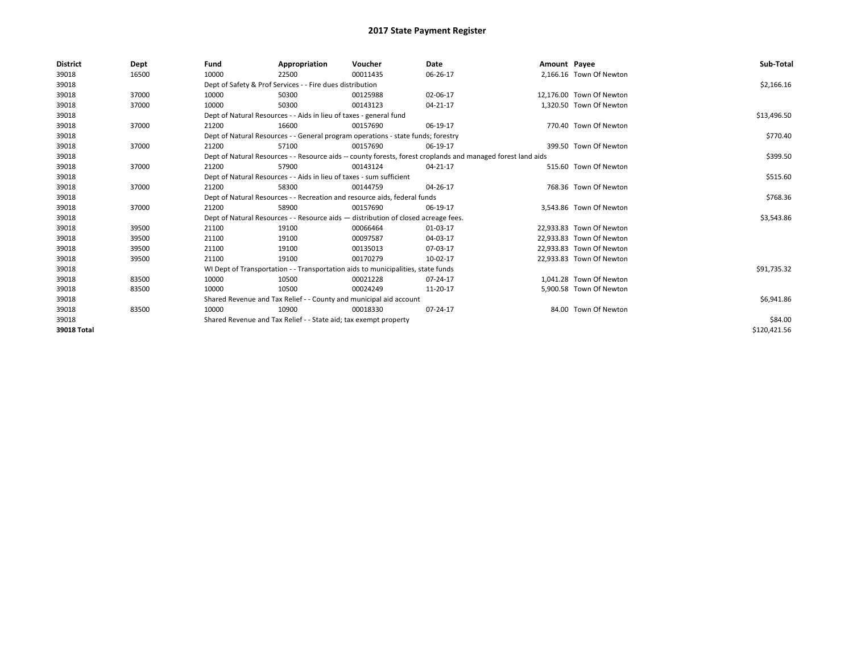| <b>District</b> | Dept  | Fund  | Appropriation                                                                      | Voucher  | Date                                                                                                         | Amount Payee |                          | Sub-Total    |
|-----------------|-------|-------|------------------------------------------------------------------------------------|----------|--------------------------------------------------------------------------------------------------------------|--------------|--------------------------|--------------|
| 39018           | 16500 | 10000 | 22500                                                                              | 00011435 | 06-26-17                                                                                                     |              | 2.166.16 Town Of Newton  |              |
| 39018           |       |       | Dept of Safety & Prof Services - - Fire dues distribution                          |          |                                                                                                              |              |                          | \$2,166.16   |
| 39018           | 37000 | 10000 | 50300                                                                              | 00125988 | 02-06-17                                                                                                     |              | 12,176.00 Town Of Newton |              |
| 39018           | 37000 | 10000 | 50300                                                                              | 00143123 | $04 - 21 - 17$                                                                                               |              | 1,320.50 Town Of Newton  |              |
| 39018           |       |       | Dept of Natural Resources - - Aids in lieu of taxes - general fund                 |          |                                                                                                              |              |                          | \$13,496.50  |
| 39018           | 37000 | 21200 | 16600                                                                              | 00157690 | 06-19-17                                                                                                     |              | 770.40 Town Of Newton    |              |
| 39018           |       |       | Dept of Natural Resources - - General program operations - state funds; forestry   |          |                                                                                                              |              |                          | \$770.40     |
| 39018           | 37000 | 21200 | 57100                                                                              | 00157690 | 06-19-17                                                                                                     |              | 399.50 Town Of Newton    |              |
| 39018           |       |       |                                                                                    |          | Dept of Natural Resources - - Resource aids -- county forests, forest croplands and managed forest land aids |              |                          | \$399.50     |
| 39018           | 37000 | 21200 | 57900                                                                              | 00143124 | 04-21-17                                                                                                     |              | 515.60 Town Of Newton    |              |
| 39018           |       |       | Dept of Natural Resources - - Aids in lieu of taxes - sum sufficient               |          |                                                                                                              |              |                          | \$515.60     |
| 39018           | 37000 | 21200 | 58300                                                                              | 00144759 | 04-26-17                                                                                                     |              | 768.36 Town Of Newton    |              |
| 39018           |       |       | Dept of Natural Resources - - Recreation and resource aids, federal funds          |          |                                                                                                              |              |                          | \$768.36     |
| 39018           | 37000 | 21200 | 58900                                                                              | 00157690 | 06-19-17                                                                                                     |              | 3,543.86 Town Of Newton  |              |
| 39018           |       |       | Dept of Natural Resources - - Resource aids - distribution of closed acreage fees. |          |                                                                                                              |              |                          | \$3,543.86   |
| 39018           | 39500 | 21100 | 19100                                                                              | 00066464 | 01-03-17                                                                                                     |              | 22.933.83 Town Of Newton |              |
| 39018           | 39500 | 21100 | 19100                                                                              | 00097587 | 04-03-17                                                                                                     |              | 22,933.83 Town Of Newton |              |
| 39018           | 39500 | 21100 | 19100                                                                              | 00135013 | 07-03-17                                                                                                     |              | 22,933.83 Town Of Newton |              |
| 39018           | 39500 | 21100 | 19100                                                                              | 00170279 | 10-02-17                                                                                                     |              | 22,933.83 Town Of Newton |              |
| 39018           |       |       | WI Dept of Transportation - - Transportation aids to municipalities, state funds   |          |                                                                                                              |              |                          | \$91,735.32  |
| 39018           | 83500 | 10000 | 10500                                                                              | 00021228 | 07-24-17                                                                                                     |              | 1.041.28 Town Of Newton  |              |
| 39018           | 83500 | 10000 | 10500                                                                              | 00024249 | 11-20-17                                                                                                     |              | 5,900.58 Town Of Newton  |              |
| 39018           |       |       | Shared Revenue and Tax Relief - - County and municipal aid account                 |          |                                                                                                              |              |                          | \$6,941.86   |
| 39018           | 83500 | 10000 | 10900                                                                              | 00018330 | 07-24-17                                                                                                     |              | 84.00 Town Of Newton     |              |
| 39018           |       |       | Shared Revenue and Tax Relief - - State aid; tax exempt property                   |          |                                                                                                              |              |                          | \$84.00      |
| 39018 Total     |       |       |                                                                                    |          |                                                                                                              |              |                          | \$120,421.56 |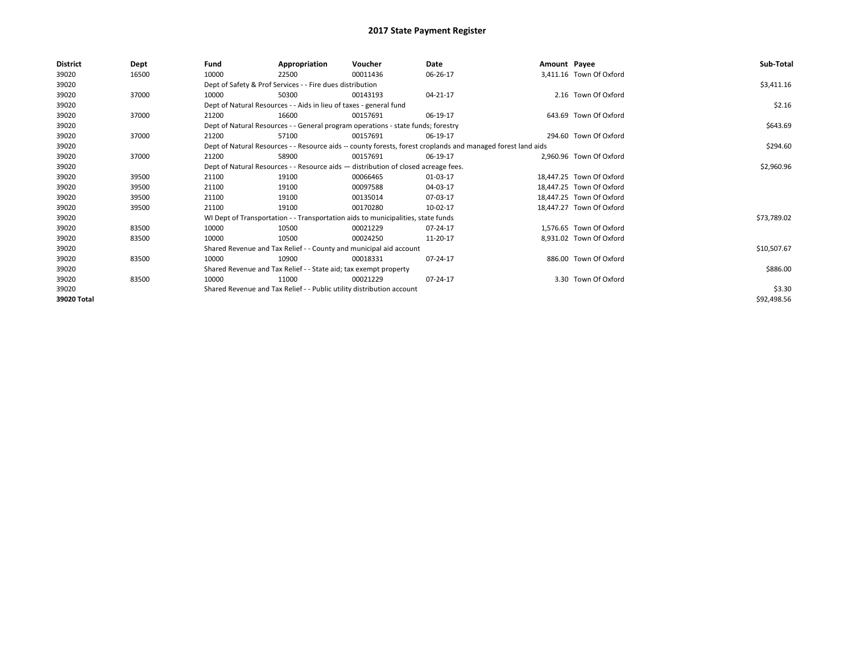| <b>District</b> | <b>Dept</b> | Fund                                                                               | Appropriation                                                                    | Voucher    | Date                                                                                                         | Amount Payee |                          | Sub-Total   |
|-----------------|-------------|------------------------------------------------------------------------------------|----------------------------------------------------------------------------------|------------|--------------------------------------------------------------------------------------------------------------|--------------|--------------------------|-------------|
| 39020           | 16500       | 10000                                                                              | 22500                                                                            | 00011436   | 06-26-17                                                                                                     |              | 3,411.16 Town Of Oxford  |             |
| 39020           |             |                                                                                    | Dept of Safety & Prof Services - - Fire dues distribution                        |            |                                                                                                              |              |                          | \$3,411.16  |
| 39020           | 37000       | 10000                                                                              | 50300                                                                            | 00143193   | 04-21-17                                                                                                     |              | 2.16 Town Of Oxford      |             |
| 39020           |             |                                                                                    | Dept of Natural Resources - - Aids in lieu of taxes - general fund               |            |                                                                                                              |              |                          | \$2.16      |
| 39020           | 37000       | 21200                                                                              | 16600                                                                            | 00157691   | 06-19-17                                                                                                     |              | 643.69 Town Of Oxford    |             |
| 39020           |             |                                                                                    | Dept of Natural Resources - - General program operations - state funds; forestry |            |                                                                                                              |              |                          | \$643.69    |
| 39020           | 37000       | 21200                                                                              | 57100                                                                            | 00157691   | 06-19-17                                                                                                     |              | 294.60 Town Of Oxford    |             |
| 39020           |             |                                                                                    |                                                                                  |            | Dept of Natural Resources - - Resource aids -- county forests, forest croplands and managed forest land aids |              |                          | \$294.60    |
| 39020           | 37000       | 21200                                                                              | 58900                                                                            | 00157691   | 06-19-17                                                                                                     |              | 2.960.96 Town Of Oxford  |             |
| 39020           |             | Dept of Natural Resources - - Resource aids - distribution of closed acreage fees. |                                                                                  | \$2,960.96 |                                                                                                              |              |                          |             |
| 39020           | 39500       | 21100                                                                              | 19100                                                                            | 00066465   | 01-03-17                                                                                                     |              | 18.447.25 Town Of Oxford |             |
| 39020           | 39500       | 21100                                                                              | 19100                                                                            | 00097588   | 04-03-17                                                                                                     |              | 18,447.25 Town Of Oxford |             |
| 39020           | 39500       | 21100                                                                              | 19100                                                                            | 00135014   | 07-03-17                                                                                                     |              | 18,447.25 Town Of Oxford |             |
| 39020           | 39500       | 21100                                                                              | 19100                                                                            | 00170280   | 10-02-17                                                                                                     |              | 18,447.27 Town Of Oxford |             |
| 39020           |             |                                                                                    | WI Dept of Transportation - - Transportation aids to municipalities, state funds |            |                                                                                                              |              |                          | \$73,789.02 |
| 39020           | 83500       | 10000                                                                              | 10500                                                                            | 00021229   | 07-24-17                                                                                                     |              | 1,576.65 Town Of Oxford  |             |
| 39020           | 83500       | 10000                                                                              | 10500                                                                            | 00024250   | 11-20-17                                                                                                     |              | 8,931.02 Town Of Oxford  |             |
| 39020           |             |                                                                                    | Shared Revenue and Tax Relief - - County and municipal aid account               |            |                                                                                                              |              |                          | \$10,507.67 |
| 39020           | 83500       | 10000                                                                              | 10900                                                                            | 00018331   | 07-24-17                                                                                                     |              | 886.00 Town Of Oxford    |             |
| 39020           |             |                                                                                    | Shared Revenue and Tax Relief - - State aid; tax exempt property                 |            |                                                                                                              |              |                          | \$886.00    |
| 39020           | 83500       | 10000                                                                              | 11000                                                                            | 00021229   | 07-24-17                                                                                                     |              | 3.30 Town Of Oxford      |             |
| 39020           |             |                                                                                    | Shared Revenue and Tax Relief - - Public utility distribution account            |            |                                                                                                              |              |                          | \$3.30      |
| 39020 Total     |             |                                                                                    |                                                                                  |            |                                                                                                              |              |                          | \$92,498.56 |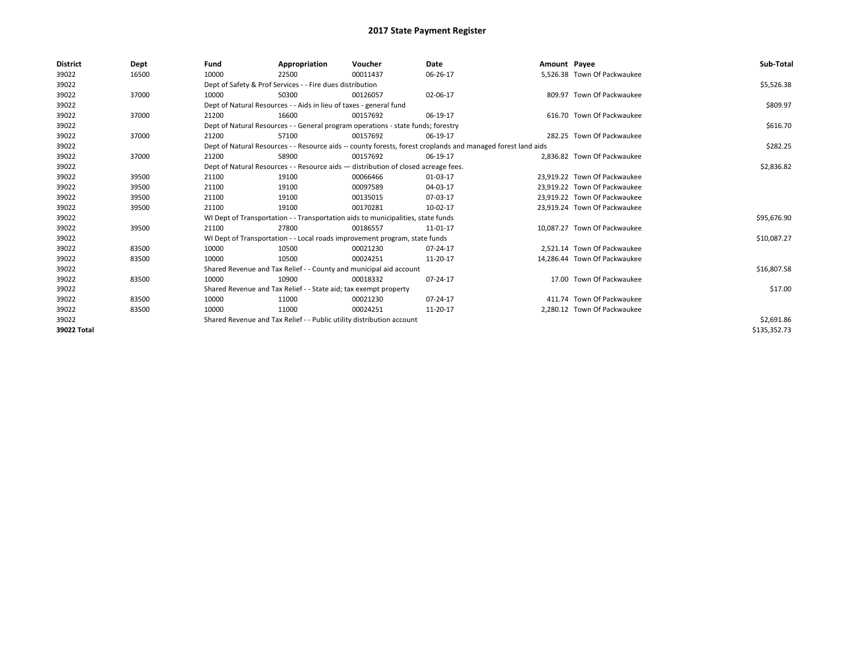| <b>District</b> | Dept  | Fund  | Appropriation                                                                      | Voucher  | Date                                                                                                         | Amount Payee |                              | Sub-Total    |
|-----------------|-------|-------|------------------------------------------------------------------------------------|----------|--------------------------------------------------------------------------------------------------------------|--------------|------------------------------|--------------|
| 39022           | 16500 | 10000 | 22500                                                                              | 00011437 | 06-26-17                                                                                                     |              | 5.526.38 Town Of Packwaukee  |              |
| 39022           |       |       | Dept of Safety & Prof Services - - Fire dues distribution                          |          |                                                                                                              |              |                              | \$5,526.38   |
| 39022           | 37000 | 10000 | 50300                                                                              | 00126057 | 02-06-17                                                                                                     |              | 809.97 Town Of Packwaukee    |              |
| 39022           |       |       | Dept of Natural Resources - - Aids in lieu of taxes - general fund                 |          |                                                                                                              |              |                              | \$809.97     |
| 39022           | 37000 | 21200 | 16600                                                                              | 00157692 | 06-19-17                                                                                                     |              | 616.70 Town Of Packwaukee    |              |
| 39022           |       |       | Dept of Natural Resources - - General program operations - state funds; forestry   |          |                                                                                                              |              |                              | \$616.70     |
| 39022           | 37000 | 21200 | 57100                                                                              | 00157692 | 06-19-17                                                                                                     |              | 282.25 Town Of Packwaukee    |              |
| 39022           |       |       |                                                                                    |          | Dept of Natural Resources - - Resource aids -- county forests, forest croplands and managed forest land aids |              |                              | \$282.25     |
| 39022           | 37000 | 21200 | 58900                                                                              | 00157692 | 06-19-17                                                                                                     |              | 2,836.82 Town Of Packwaukee  |              |
| 39022           |       |       | Dept of Natural Resources - - Resource aids - distribution of closed acreage fees. |          |                                                                                                              |              |                              | \$2,836.82   |
| 39022           | 39500 | 21100 | 19100                                                                              | 00066466 | 01-03-17                                                                                                     |              | 23.919.22 Town Of Packwaukee |              |
| 39022           | 39500 | 21100 | 19100                                                                              | 00097589 | 04-03-17                                                                                                     |              | 23,919.22 Town Of Packwaukee |              |
| 39022           | 39500 | 21100 | 19100                                                                              | 00135015 | 07-03-17                                                                                                     |              | 23,919.22 Town Of Packwaukee |              |
| 39022           | 39500 | 21100 | 19100                                                                              | 00170281 | 10-02-17                                                                                                     |              | 23,919.24 Town Of Packwaukee |              |
| 39022           |       |       | WI Dept of Transportation - - Transportation aids to municipalities, state funds   |          |                                                                                                              |              |                              | \$95,676.90  |
| 39022           | 39500 | 21100 | 27800                                                                              | 00186557 | 11-01-17                                                                                                     |              | 10.087.27 Town Of Packwaukee |              |
| 39022           |       |       | WI Dept of Transportation - - Local roads improvement program, state funds         |          |                                                                                                              |              |                              | \$10,087.27  |
| 39022           | 83500 | 10000 | 10500                                                                              | 00021230 | 07-24-17                                                                                                     |              | 2.521.14 Town Of Packwaukee  |              |
| 39022           | 83500 | 10000 | 10500                                                                              | 00024251 | 11-20-17                                                                                                     |              | 14,286.44 Town Of Packwaukee |              |
| 39022           |       |       | Shared Revenue and Tax Relief - - County and municipal aid account                 |          |                                                                                                              |              |                              | \$16,807.58  |
| 39022           | 83500 | 10000 | 10900                                                                              | 00018332 | 07-24-17                                                                                                     |              | 17.00 Town Of Packwaukee     |              |
| 39022           |       |       | Shared Revenue and Tax Relief - - State aid; tax exempt property                   |          |                                                                                                              |              |                              | \$17.00      |
| 39022           | 83500 | 10000 | 11000                                                                              | 00021230 | 07-24-17                                                                                                     |              | 411.74 Town Of Packwaukee    |              |
| 39022           | 83500 | 10000 | 11000                                                                              | 00024251 | 11-20-17                                                                                                     |              | 2,280.12 Town Of Packwaukee  |              |
| 39022           |       |       | Shared Revenue and Tax Relief - - Public utility distribution account              |          |                                                                                                              |              |                              | \$2,691.86   |
| 39022 Total     |       |       |                                                                                    |          |                                                                                                              |              |                              | \$135,352.73 |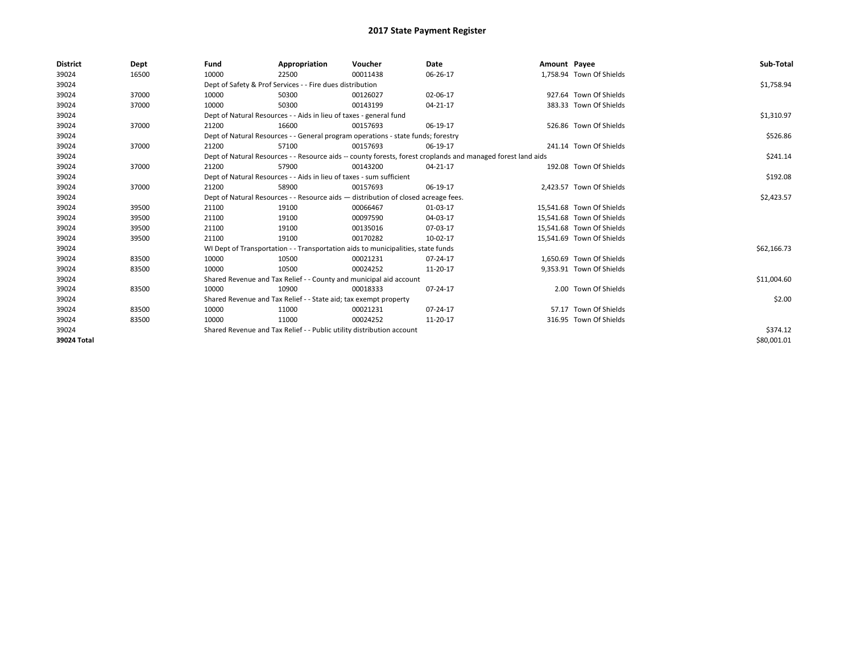| <b>District</b> | Dept  | Fund  | Appropriation                                                                      | Voucher  | Date                                                                                                         | Amount Payee |                           | Sub-Total   |  |  |
|-----------------|-------|-------|------------------------------------------------------------------------------------|----------|--------------------------------------------------------------------------------------------------------------|--------------|---------------------------|-------------|--|--|
| 39024           | 16500 | 10000 | 22500                                                                              | 00011438 | 06-26-17                                                                                                     |              | 1,758.94 Town Of Shields  |             |  |  |
| 39024           |       |       | Dept of Safety & Prof Services - - Fire dues distribution                          |          |                                                                                                              |              |                           | \$1,758.94  |  |  |
| 39024           | 37000 | 10000 | 50300                                                                              | 00126027 | 02-06-17                                                                                                     |              | 927.64 Town Of Shields    |             |  |  |
| 39024           | 37000 | 10000 | 50300                                                                              | 00143199 | 04-21-17                                                                                                     |              | 383.33 Town Of Shields    |             |  |  |
| 39024           |       |       | Dept of Natural Resources - - Aids in lieu of taxes - general fund                 |          |                                                                                                              |              |                           | \$1,310.97  |  |  |
| 39024           | 37000 | 21200 | 16600                                                                              | 00157693 | 06-19-17                                                                                                     |              | 526.86 Town Of Shields    |             |  |  |
| 39024           |       |       | Dept of Natural Resources - - General program operations - state funds; forestry   |          |                                                                                                              |              |                           | \$526.86    |  |  |
| 39024           | 37000 | 21200 | 57100                                                                              | 00157693 | 06-19-17                                                                                                     |              | 241.14 Town Of Shields    |             |  |  |
| 39024           |       |       |                                                                                    |          | Dept of Natural Resources - - Resource aids -- county forests, forest croplands and managed forest land aids |              |                           | \$241.14    |  |  |
| 39024           | 37000 | 21200 | 57900                                                                              | 00143200 | 04-21-17                                                                                                     |              | 192.08 Town Of Shields    |             |  |  |
| 39024           |       |       | Dept of Natural Resources - - Aids in lieu of taxes - sum sufficient               |          |                                                                                                              |              |                           |             |  |  |
| 39024           | 37000 | 21200 | 58900                                                                              | 00157693 | 06-19-17                                                                                                     |              | 2,423.57 Town Of Shields  |             |  |  |
| 39024           |       |       | Dept of Natural Resources - - Resource aids - distribution of closed acreage fees. |          |                                                                                                              |              |                           | \$2,423.57  |  |  |
| 39024           | 39500 | 21100 | 19100                                                                              | 00066467 | 01-03-17                                                                                                     |              | 15,541.68 Town Of Shields |             |  |  |
| 39024           | 39500 | 21100 | 19100                                                                              | 00097590 | 04-03-17                                                                                                     |              | 15,541.68 Town Of Shields |             |  |  |
| 39024           | 39500 | 21100 | 19100                                                                              | 00135016 | 07-03-17                                                                                                     |              | 15,541.68 Town Of Shields |             |  |  |
| 39024           | 39500 | 21100 | 19100                                                                              | 00170282 | 10-02-17                                                                                                     |              | 15,541.69 Town Of Shields |             |  |  |
| 39024           |       |       | WI Dept of Transportation - - Transportation aids to municipalities, state funds   |          |                                                                                                              |              |                           | \$62,166.73 |  |  |
| 39024           | 83500 | 10000 | 10500                                                                              | 00021231 | 07-24-17                                                                                                     |              | 1,650.69 Town Of Shields  |             |  |  |
| 39024           | 83500 | 10000 | 10500                                                                              | 00024252 | 11-20-17                                                                                                     |              | 9,353.91 Town Of Shields  |             |  |  |
| 39024           |       |       | Shared Revenue and Tax Relief - - County and municipal aid account                 |          |                                                                                                              |              |                           | \$11,004.60 |  |  |
| 39024           | 83500 | 10000 | 10900                                                                              | 00018333 | 07-24-17                                                                                                     |              | 2.00 Town Of Shields      |             |  |  |
| 39024           |       |       | Shared Revenue and Tax Relief - - State aid; tax exempt property                   |          |                                                                                                              |              |                           | \$2.00      |  |  |
| 39024           | 83500 | 10000 | 11000                                                                              | 00021231 | 07-24-17                                                                                                     |              | 57.17 Town Of Shields     |             |  |  |
| 39024           | 83500 | 10000 | 11000                                                                              | 00024252 | 11-20-17                                                                                                     |              | 316.95 Town Of Shields    |             |  |  |
| 39024           |       |       | Shared Revenue and Tax Relief - - Public utility distribution account              |          |                                                                                                              |              |                           | \$374.12    |  |  |
| 39024 Total     |       |       |                                                                                    |          |                                                                                                              |              |                           | \$80,001.01 |  |  |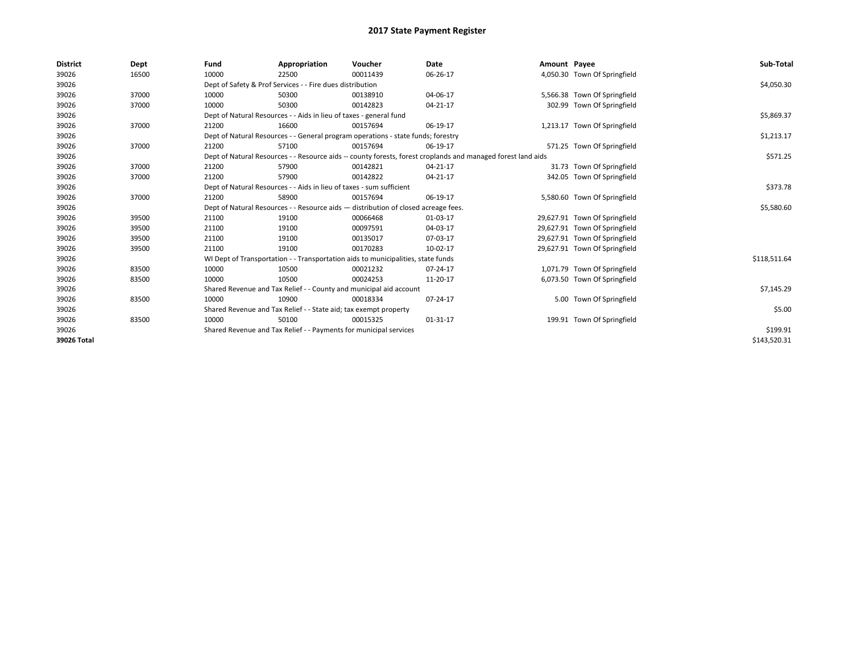| <b>District</b> | Dept  | Fund  | Appropriation                                                                      | Voucher  | Date                                                                                                         | Amount Payee |                               | Sub-Total    |
|-----------------|-------|-------|------------------------------------------------------------------------------------|----------|--------------------------------------------------------------------------------------------------------------|--------------|-------------------------------|--------------|
| 39026           | 16500 | 10000 | 22500                                                                              | 00011439 | 06-26-17                                                                                                     |              | 4,050.30 Town Of Springfield  |              |
| 39026           |       |       | Dept of Safety & Prof Services - - Fire dues distribution                          |          |                                                                                                              |              |                               | \$4,050.30   |
| 39026           | 37000 | 10000 | 50300                                                                              | 00138910 | 04-06-17                                                                                                     |              | 5,566.38 Town Of Springfield  |              |
| 39026           | 37000 | 10000 | 50300                                                                              | 00142823 | 04-21-17                                                                                                     |              | 302.99 Town Of Springfield    |              |
| 39026           |       |       | Dept of Natural Resources - - Aids in lieu of taxes - general fund                 |          |                                                                                                              |              |                               | \$5,869.37   |
| 39026           | 37000 | 21200 | 16600                                                                              | 00157694 | 06-19-17                                                                                                     |              | 1,213.17 Town Of Springfield  |              |
| 39026           |       |       | Dept of Natural Resources - - General program operations - state funds; forestry   |          |                                                                                                              |              |                               | \$1,213.17   |
| 39026           | 37000 | 21200 | 57100                                                                              | 00157694 | 06-19-17                                                                                                     |              | 571.25 Town Of Springfield    |              |
| 39026           |       |       |                                                                                    |          | Dept of Natural Resources - - Resource aids -- county forests, forest croplands and managed forest land aids |              |                               | \$571.25     |
| 39026           | 37000 | 21200 | 57900                                                                              | 00142821 | 04-21-17                                                                                                     |              | 31.73 Town Of Springfield     |              |
| 39026           | 37000 | 21200 | 57900                                                                              | 00142822 | 04-21-17                                                                                                     |              | 342.05 Town Of Springfield    |              |
| 39026           |       |       | Dept of Natural Resources - - Aids in lieu of taxes - sum sufficient               |          |                                                                                                              |              |                               | \$373.78     |
| 39026           | 37000 | 21200 | 58900                                                                              | 00157694 | 06-19-17                                                                                                     |              | 5,580.60 Town Of Springfield  |              |
| 39026           |       |       | Dept of Natural Resources - - Resource aids - distribution of closed acreage fees. |          |                                                                                                              |              |                               | \$5,580.60   |
| 39026           | 39500 | 21100 | 19100                                                                              | 00066468 | 01-03-17                                                                                                     |              | 29,627.91 Town Of Springfield |              |
| 39026           | 39500 | 21100 | 19100                                                                              | 00097591 | 04-03-17                                                                                                     |              | 29,627.91 Town Of Springfield |              |
| 39026           | 39500 | 21100 | 19100                                                                              | 00135017 | 07-03-17                                                                                                     |              | 29,627.91 Town Of Springfield |              |
| 39026           | 39500 | 21100 | 19100                                                                              | 00170283 | 10-02-17                                                                                                     |              | 29,627.91 Town Of Springfield |              |
| 39026           |       |       | WI Dept of Transportation - - Transportation aids to municipalities, state funds   |          |                                                                                                              |              |                               | \$118,511.64 |
| 39026           | 83500 | 10000 | 10500                                                                              | 00021232 | 07-24-17                                                                                                     |              | 1,071.79 Town Of Springfield  |              |
| 39026           | 83500 | 10000 | 10500                                                                              | 00024253 | 11-20-17                                                                                                     |              | 6,073.50 Town Of Springfield  |              |
| 39026           |       |       | Shared Revenue and Tax Relief - - County and municipal aid account                 |          |                                                                                                              |              |                               | \$7,145.29   |
| 39026           | 83500 | 10000 | 10900                                                                              | 00018334 | 07-24-17                                                                                                     |              | 5.00 Town Of Springfield      |              |
| 39026           |       |       | Shared Revenue and Tax Relief - - State aid; tax exempt property                   |          |                                                                                                              |              |                               | \$5.00       |
| 39026           | 83500 | 10000 | 50100                                                                              | 00015325 | 01-31-17                                                                                                     |              | 199.91 Town Of Springfield    |              |
| 39026           |       |       | Shared Revenue and Tax Relief - - Payments for municipal services                  |          |                                                                                                              |              |                               | \$199.91     |
| 39026 Total     |       |       |                                                                                    |          |                                                                                                              |              |                               | \$143,520.31 |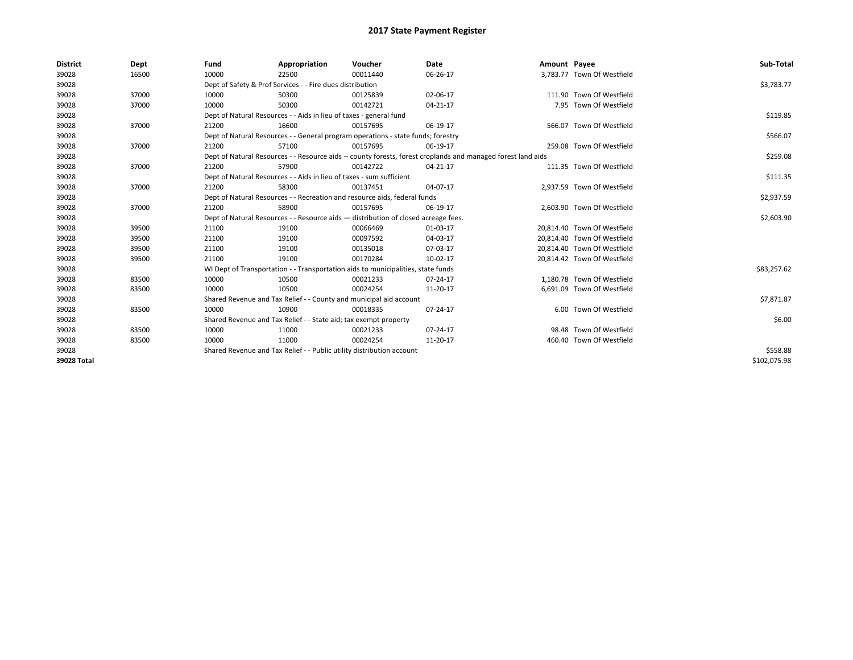| <b>District</b> | Dept  | Fund  | Appropriation                                                                                                | Voucher  | <b>Date</b> | Amount Payee |                             | Sub-Total    |  |  |  |
|-----------------|-------|-------|--------------------------------------------------------------------------------------------------------------|----------|-------------|--------------|-----------------------------|--------------|--|--|--|
| 39028           | 16500 | 10000 | 22500                                                                                                        | 00011440 | 06-26-17    |              | 3,783.77 Town Of Westfield  |              |  |  |  |
| 39028           |       |       | Dept of Safety & Prof Services - - Fire dues distribution                                                    |          |             |              |                             | \$3,783.77   |  |  |  |
| 39028           | 37000 | 10000 | 50300                                                                                                        | 00125839 | 02-06-17    |              | 111.90 Town Of Westfield    |              |  |  |  |
| 39028           | 37000 | 10000 | 50300                                                                                                        | 00142721 | 04-21-17    |              | 7.95 Town Of Westfield      |              |  |  |  |
| 39028           |       |       | Dept of Natural Resources - - Aids in lieu of taxes - general fund                                           |          |             |              |                             | \$119.85     |  |  |  |
| 39028           | 37000 | 21200 | 16600                                                                                                        | 00157695 | 06-19-17    |              | 566.07 Town Of Westfield    |              |  |  |  |
| 39028           |       |       | Dept of Natural Resources - - General program operations - state funds; forestry                             |          |             |              |                             |              |  |  |  |
| 39028           | 37000 | 21200 | 57100                                                                                                        | 00157695 | 06-19-17    |              | 259.08 Town Of Westfield    |              |  |  |  |
| 39028           |       |       | Dept of Natural Resources - - Resource aids -- county forests, forest croplands and managed forest land aids |          |             |              |                             | \$259.08     |  |  |  |
| 39028           | 37000 | 21200 | 57900                                                                                                        | 00142722 | 04-21-17    |              | 111.35 Town Of Westfield    |              |  |  |  |
| 39028           |       |       | Dept of Natural Resources - - Aids in lieu of taxes - sum sufficient                                         |          |             |              |                             |              |  |  |  |
| 39028           | 37000 | 21200 | 58300                                                                                                        | 00137451 | 04-07-17    |              | 2,937.59 Town Of Westfield  |              |  |  |  |
| 39028           |       |       | Dept of Natural Resources - - Recreation and resource aids, federal funds                                    |          |             |              |                             |              |  |  |  |
| 39028           | 37000 | 21200 | 58900                                                                                                        | 00157695 | 06-19-17    |              | 2,603.90 Town Of Westfield  |              |  |  |  |
| 39028           |       |       | Dept of Natural Resources - - Resource aids - distribution of closed acreage fees.                           |          |             |              |                             | \$2,603.90   |  |  |  |
| 39028           | 39500 | 21100 | 19100                                                                                                        | 00066469 | 01-03-17    |              | 20,814.40 Town Of Westfield |              |  |  |  |
| 39028           | 39500 | 21100 | 19100                                                                                                        | 00097592 | 04-03-17    |              | 20,814.40 Town Of Westfield |              |  |  |  |
| 39028           | 39500 | 21100 | 19100                                                                                                        | 00135018 | 07-03-17    |              | 20.814.40 Town Of Westfield |              |  |  |  |
| 39028           | 39500 | 21100 | 19100                                                                                                        | 00170284 | 10-02-17    |              | 20,814.42 Town Of Westfield |              |  |  |  |
| 39028           |       |       | WI Dept of Transportation - - Transportation aids to municipalities, state funds                             |          |             |              |                             | \$83,257.62  |  |  |  |
| 39028           | 83500 | 10000 | 10500                                                                                                        | 00021233 | 07-24-17    |              | 1,180.78 Town Of Westfield  |              |  |  |  |
| 39028           | 83500 | 10000 | 10500                                                                                                        | 00024254 | 11-20-17    |              | 6.691.09 Town Of Westfield  |              |  |  |  |
| 39028           |       |       | Shared Revenue and Tax Relief - - County and municipal aid account                                           |          |             |              |                             | \$7,871.87   |  |  |  |
| 39028           | 83500 | 10000 | 10900                                                                                                        | 00018335 | 07-24-17    |              | 6.00 Town Of Westfield      |              |  |  |  |
| 39028           |       |       | Shared Revenue and Tax Relief - - State aid; tax exempt property                                             |          |             |              |                             | \$6.00       |  |  |  |
| 39028           | 83500 | 10000 | 11000                                                                                                        | 00021233 | 07-24-17    |              | 98.48 Town Of Westfield     |              |  |  |  |
| 39028           | 83500 | 10000 | 11000                                                                                                        | 00024254 | 11-20-17    |              | 460.40 Town Of Westfield    |              |  |  |  |
| 39028           |       |       | Shared Revenue and Tax Relief - - Public utility distribution account                                        |          |             |              |                             | \$558.88     |  |  |  |
| 39028 Total     |       |       |                                                                                                              |          |             |              |                             | \$102.075.98 |  |  |  |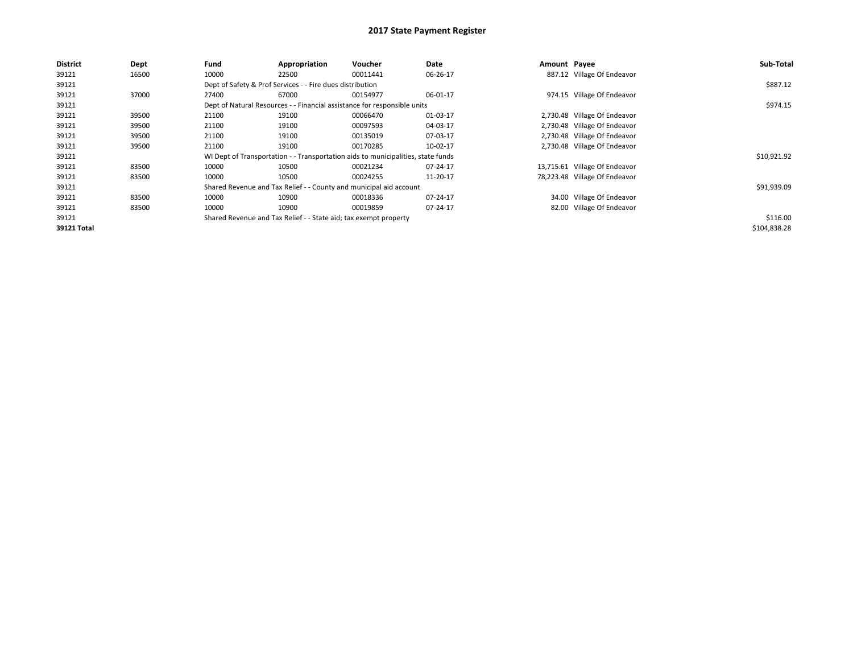| <b>District</b> | <b>Dept</b> | Fund  | Appropriation                                                                    | Voucher  | Date     | Amount Payee |                               | Sub-Total    |
|-----------------|-------------|-------|----------------------------------------------------------------------------------|----------|----------|--------------|-------------------------------|--------------|
| 39121           | 16500       | 10000 | 22500                                                                            | 00011441 | 06-26-17 |              | 887.12 Village Of Endeavor    |              |
| 39121           |             |       | Dept of Safety & Prof Services - - Fire dues distribution                        |          |          |              |                               | \$887.12     |
| 39121           | 37000       | 27400 | 67000                                                                            | 00154977 | 06-01-17 |              | 974.15 Village Of Endeavor    |              |
| 39121           |             |       | Dept of Natural Resources - - Financial assistance for responsible units         |          |          |              |                               | \$974.15     |
| 39121           | 39500       | 21100 | 19100                                                                            | 00066470 | 01-03-17 |              | 2,730.48 Village Of Endeavor  |              |
| 39121           | 39500       | 21100 | 19100                                                                            | 00097593 | 04-03-17 |              | 2,730.48 Village Of Endeavor  |              |
| 39121           | 39500       | 21100 | 19100                                                                            | 00135019 | 07-03-17 |              | 2,730.48 Village Of Endeavor  |              |
| 39121           | 39500       | 21100 | 19100                                                                            | 00170285 | 10-02-17 |              | 2,730.48 Village Of Endeavor  |              |
| 39121           |             |       | WI Dept of Transportation - - Transportation aids to municipalities, state funds |          |          |              |                               | \$10,921.92  |
| 39121           | 83500       | 10000 | 10500                                                                            | 00021234 | 07-24-17 |              | 13,715.61 Village Of Endeavor |              |
| 39121           | 83500       | 10000 | 10500                                                                            | 00024255 | 11-20-17 |              | 78,223.48 Village Of Endeavor |              |
| 39121           |             |       | Shared Revenue and Tax Relief - - County and municipal aid account               |          |          |              |                               | \$91,939.09  |
| 39121           | 83500       | 10000 | 10900                                                                            | 00018336 | 07-24-17 |              | 34.00 Village Of Endeavor     |              |
| 39121           | 83500       | 10000 | 10900                                                                            | 00019859 | 07-24-17 |              | 82.00 Village Of Endeavor     |              |
| 39121           |             |       | Shared Revenue and Tax Relief - - State aid; tax exempt property                 |          |          |              |                               | \$116.00     |
| 39121 Total     |             |       |                                                                                  |          |          |              |                               | \$104,838.28 |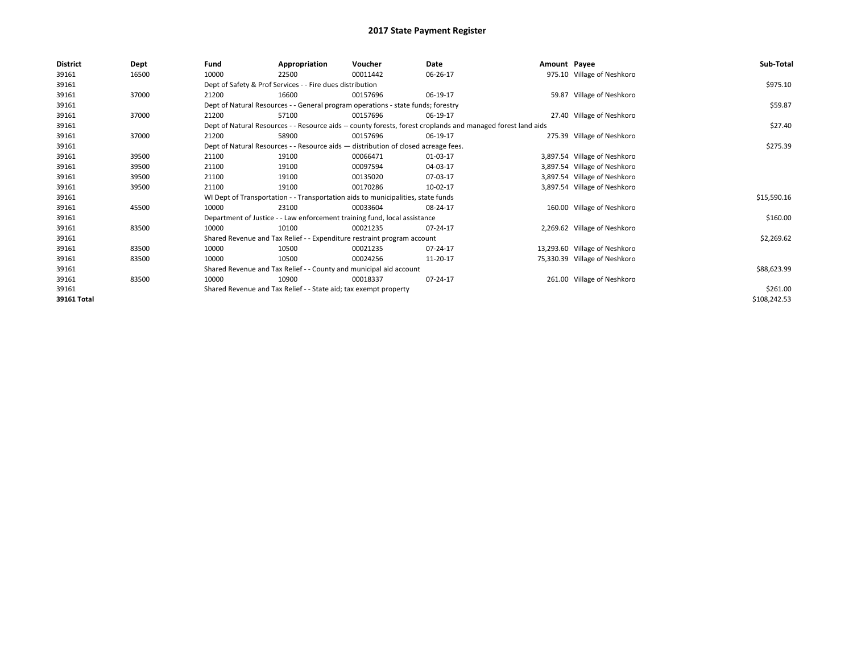| 39161<br>10000<br>975.10 Village of Neshkoro<br>16500<br>22500<br>00011442<br>06-26-17                                |              |
|-----------------------------------------------------------------------------------------------------------------------|--------------|
|                                                                                                                       |              |
| Dept of Safety & Prof Services - - Fire dues distribution<br>39161                                                    | \$975.10     |
| 59.87 Village of Neshkoro<br>39161<br>37000<br>21200<br>16600<br>00157696<br>06-19-17                                 |              |
| 39161<br>Dept of Natural Resources - - General program operations - state funds; forestry                             | \$59.87      |
| 39161<br>37000<br>06-19-17<br>27.40 Village of Neshkoro<br>21200<br>57100<br>00157696                                 |              |
| 39161<br>Dept of Natural Resources - - Resource aids -- county forests, forest croplands and managed forest land aids | \$27.40      |
| 39161<br>275.39 Village of Neshkoro<br>37000<br>21200<br>58900<br>00157696<br>06-19-17                                |              |
| 39161<br>Dept of Natural Resources - - Resource aids - distribution of closed acreage fees.                           | \$275.39     |
| 39161<br>19100<br>3,897.54 Village of Neshkoro<br>39500<br>21100<br>00066471<br>01-03-17                              |              |
| 39161<br>00097594<br>3,897.54 Village of Neshkoro<br>39500<br>21100<br>19100<br>04-03-17                              |              |
| 3,897.54 Village of Neshkoro<br>39161<br>21100<br>19100<br>00135020<br>07-03-17<br>39500                              |              |
| 3,897.54 Village of Neshkoro<br>39161<br>39500<br>21100<br>19100<br>00170286<br>10-02-17                              |              |
| 39161<br>WI Dept of Transportation - - Transportation aids to municipalities, state funds                             | \$15,590.16  |
| 39161<br>10000<br>23100<br>08-24-17<br>160.00 Village of Neshkoro<br>45500<br>00033604                                |              |
| 39161<br>Department of Justice - - Law enforcement training fund, local assistance                                    | \$160.00     |
| 39161<br>10000<br>83500<br>10100<br>00021235<br>07-24-17<br>2,269.62 Village of Neshkoro                              |              |
| 39161<br>Shared Revenue and Tax Relief - - Expenditure restraint program account                                      | \$2,269.62   |
| 39161<br>10000<br>13,293.60 Village of Neshkoro<br>83500<br>10500<br>00021235<br>07-24-17                             |              |
| 39161<br>83500<br>10000<br>10500<br>00024256<br>75,330.39 Village of Neshkoro<br>11-20-17                             |              |
| 39161<br>Shared Revenue and Tax Relief - - County and municipal aid account                                           | \$88,623.99  |
| 261.00 Village of Neshkoro<br>39161<br>83500<br>10000<br>10900<br>07-24-17<br>00018337                                |              |
| Shared Revenue and Tax Relief - - State aid; tax exempt property<br>39161                                             | \$261.00     |
| 39161 Total                                                                                                           | \$108,242.53 |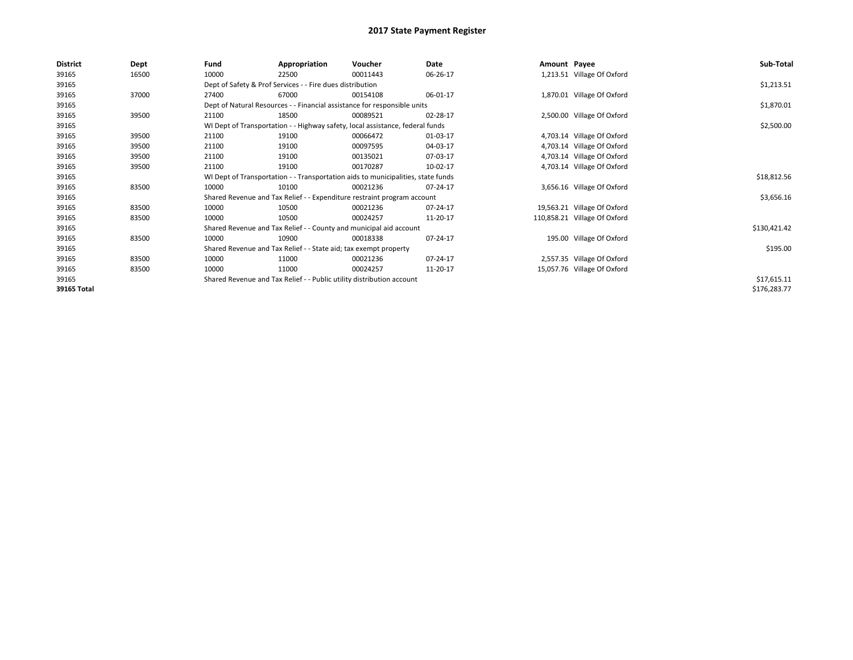| <b>District</b> | Dept  | Fund  | Appropriation                                                                    | Voucher  | Date     | Amount Payee |                              | Sub-Total    |  |  |  |
|-----------------|-------|-------|----------------------------------------------------------------------------------|----------|----------|--------------|------------------------------|--------------|--|--|--|
| 39165           | 16500 | 10000 | 22500                                                                            | 00011443 | 06-26-17 |              | 1,213.51 Village Of Oxford   |              |  |  |  |
| 39165           |       |       | Dept of Safety & Prof Services - - Fire dues distribution                        |          |          |              |                              | \$1,213.51   |  |  |  |
| 39165           | 37000 | 27400 | 67000                                                                            | 00154108 | 06-01-17 |              | 1,870.01 Village Of Oxford   |              |  |  |  |
| 39165           |       |       | Dept of Natural Resources - - Financial assistance for responsible units         |          |          |              |                              | \$1,870.01   |  |  |  |
| 39165           | 39500 | 21100 | 18500                                                                            | 00089521 | 02-28-17 |              | 2,500.00 Village Of Oxford   |              |  |  |  |
| 39165           |       |       | WI Dept of Transportation - - Highway safety, local assistance, federal funds    |          |          |              |                              | \$2,500.00   |  |  |  |
| 39165           | 39500 | 21100 | 19100                                                                            | 00066472 | 01-03-17 |              | 4,703.14 Village Of Oxford   |              |  |  |  |
| 39165           | 39500 | 21100 | 19100                                                                            | 00097595 | 04-03-17 |              | 4,703.14 Village Of Oxford   |              |  |  |  |
| 39165           | 39500 | 21100 | 19100                                                                            | 00135021 | 07-03-17 |              | 4,703.14 Village Of Oxford   |              |  |  |  |
| 39165           | 39500 | 21100 | 19100                                                                            | 00170287 | 10-02-17 |              | 4,703.14 Village Of Oxford   |              |  |  |  |
| 39165           |       |       | WI Dept of Transportation - - Transportation aids to municipalities, state funds |          |          |              |                              |              |  |  |  |
| 39165           | 83500 | 10000 | 10100                                                                            | 00021236 | 07-24-17 |              | 3,656.16 Village Of Oxford   |              |  |  |  |
| 39165           |       |       | Shared Revenue and Tax Relief - - Expenditure restraint program account          |          |          |              |                              | \$3,656.16   |  |  |  |
| 39165           | 83500 | 10000 | 10500                                                                            | 00021236 | 07-24-17 |              | 19,563.21 Village Of Oxford  |              |  |  |  |
| 39165           | 83500 | 10000 | 10500                                                                            | 00024257 | 11-20-17 |              | 110,858.21 Village Of Oxford |              |  |  |  |
| 39165           |       |       | Shared Revenue and Tax Relief - - County and municipal aid account               |          |          |              |                              | \$130,421.42 |  |  |  |
| 39165           | 83500 | 10000 | 10900                                                                            | 00018338 | 07-24-17 |              | 195.00 Village Of Oxford     |              |  |  |  |
| 39165           |       |       | Shared Revenue and Tax Relief - - State aid; tax exempt property                 |          |          |              |                              | \$195.00     |  |  |  |
| 39165           | 83500 | 10000 | 11000                                                                            | 00021236 | 07-24-17 |              | 2,557.35 Village Of Oxford   |              |  |  |  |
| 39165           | 83500 | 10000 | 11000                                                                            | 00024257 | 11-20-17 |              | 15,057.76 Village Of Oxford  |              |  |  |  |
| 39165           |       |       | Shared Revenue and Tax Relief - - Public utility distribution account            |          |          |              |                              | \$17,615.11  |  |  |  |
| 39165 Total     |       |       |                                                                                  |          |          |              |                              | \$176,283.77 |  |  |  |
|                 |       |       |                                                                                  |          |          |              |                              |              |  |  |  |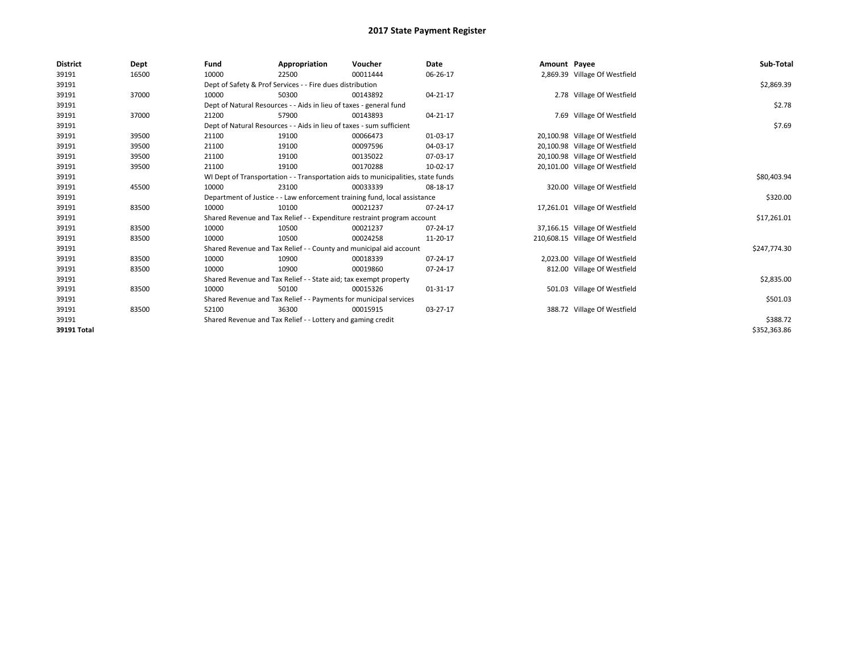| <b>District</b> | Dept  | Fund  | Appropriation                                                        | Voucher                                                                          | Date     | Amount Payee |                                 | Sub-Total    |
|-----------------|-------|-------|----------------------------------------------------------------------|----------------------------------------------------------------------------------|----------|--------------|---------------------------------|--------------|
| 39191           | 16500 | 10000 | 22500                                                                | 00011444                                                                         | 06-26-17 |              | 2,869.39 Village Of Westfield   |              |
| 39191           |       |       | Dept of Safety & Prof Services - - Fire dues distribution            |                                                                                  |          |              |                                 | \$2,869.39   |
| 39191           | 37000 | 10000 | 50300                                                                | 00143892                                                                         | 04-21-17 |              | 2.78 Village Of Westfield       |              |
| 39191           |       |       | Dept of Natural Resources - - Aids in lieu of taxes - general fund   |                                                                                  |          |              |                                 | \$2.78       |
| 39191           | 37000 | 21200 | 57900                                                                | 00143893                                                                         | 04-21-17 |              | 7.69 Village Of Westfield       |              |
| 39191           |       |       | Dept of Natural Resources - - Aids in lieu of taxes - sum sufficient |                                                                                  |          |              |                                 | \$7.69       |
| 39191           | 39500 | 21100 | 19100                                                                | 00066473                                                                         | 01-03-17 |              | 20,100.98 Village Of Westfield  |              |
| 39191           | 39500 | 21100 | 19100                                                                | 00097596                                                                         | 04-03-17 |              | 20,100.98 Village Of Westfield  |              |
| 39191           | 39500 | 21100 | 19100                                                                | 00135022                                                                         | 07-03-17 |              | 20,100.98 Village Of Westfield  |              |
| 39191           | 39500 | 21100 | 19100                                                                | 00170288                                                                         | 10-02-17 |              | 20,101.00 Village Of Westfield  |              |
| 39191           |       |       |                                                                      | WI Dept of Transportation - - Transportation aids to municipalities, state funds |          |              |                                 | \$80,403.94  |
| 39191           | 45500 | 10000 | 23100                                                                | 00033339                                                                         | 08-18-17 |              | 320.00 Village Of Westfield     |              |
| 39191           |       |       |                                                                      | Department of Justice - - Law enforcement training fund, local assistance        |          |              |                                 | \$320.00     |
| 39191           | 83500 | 10000 | 10100                                                                | 00021237                                                                         | 07-24-17 |              | 17,261.01 Village Of Westfield  |              |
| 39191           |       |       |                                                                      | Shared Revenue and Tax Relief - - Expenditure restraint program account          |          |              |                                 | \$17,261.01  |
| 39191           | 83500 | 10000 | 10500                                                                | 00021237                                                                         | 07-24-17 |              | 37,166.15 Village Of Westfield  |              |
| 39191           | 83500 | 10000 | 10500                                                                | 00024258                                                                         | 11-20-17 |              | 210,608.15 Village Of Westfield |              |
| 39191           |       |       |                                                                      | Shared Revenue and Tax Relief - - County and municipal aid account               |          |              |                                 | \$247,774.30 |
| 39191           | 83500 | 10000 | 10900                                                                | 00018339                                                                         | 07-24-17 |              | 2,023.00 Village Of Westfield   |              |
| 39191           | 83500 | 10000 | 10900                                                                | 00019860                                                                         | 07-24-17 |              | 812.00 Village Of Westfield     |              |
| 39191           |       |       | Shared Revenue and Tax Relief - - State aid; tax exempt property     |                                                                                  |          |              |                                 | \$2,835.00   |
| 39191           | 83500 | 10000 | 50100                                                                | 00015326                                                                         | 01-31-17 |              | 501.03 Village Of Westfield     |              |
| 39191           |       |       | Shared Revenue and Tax Relief - - Payments for municipal services    |                                                                                  |          |              |                                 | \$501.03     |
| 39191           | 83500 | 52100 | 36300                                                                | 00015915                                                                         | 03-27-17 |              | 388.72 Village Of Westfield     |              |
| 39191           |       |       | Shared Revenue and Tax Relief - - Lottery and gaming credit          |                                                                                  |          |              |                                 | \$388.72     |
| 39191 Total     |       |       |                                                                      |                                                                                  |          |              |                                 | \$352,363.86 |